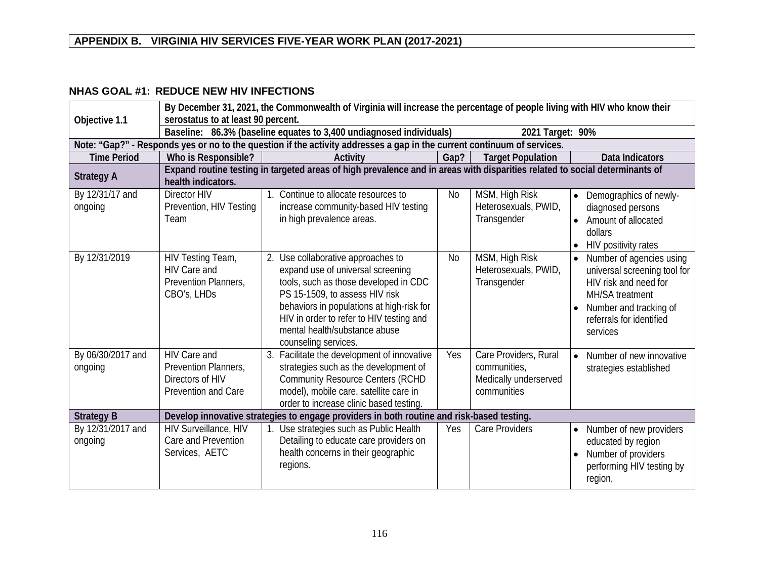#### **NHAS GOAL #1: REDUCE NEW HIV INFECTIONS**

| Objective 1.1                | By December 31, 2021, the Commonwealth of Virginia will increase the percentage of people living with HIV who know their<br>serostatus to at least 90 percent. |                                                                                                                                                                                                                                                                                                         |           |                                                                               |                                                                                                                                                                                            |  |  |
|------------------------------|----------------------------------------------------------------------------------------------------------------------------------------------------------------|---------------------------------------------------------------------------------------------------------------------------------------------------------------------------------------------------------------------------------------------------------------------------------------------------------|-----------|-------------------------------------------------------------------------------|--------------------------------------------------------------------------------------------------------------------------------------------------------------------------------------------|--|--|
|                              | Baseline: 86.3% (baseline equates to 3,400 undiagnosed individuals)<br>2021 Target: 90%                                                                        |                                                                                                                                                                                                                                                                                                         |           |                                                                               |                                                                                                                                                                                            |  |  |
|                              |                                                                                                                                                                | Note: "Gap?" - Responds yes or no to the question if the activity addresses a gap in the current continuum of services.                                                                                                                                                                                 |           |                                                                               |                                                                                                                                                                                            |  |  |
| <b>Time Period</b>           | Who is Responsible?                                                                                                                                            | Activity                                                                                                                                                                                                                                                                                                | Gap?      | <b>Target Population</b>                                                      | <b>Data Indicators</b>                                                                                                                                                                     |  |  |
| <b>Strategy A</b>            | health indicators.                                                                                                                                             | Expand routine testing in targeted areas of high prevalence and in areas with disparities related to social determinants of                                                                                                                                                                             |           |                                                                               |                                                                                                                                                                                            |  |  |
| By 12/31/17 and<br>ongoing   | Director HIV<br>Prevention, HIV Testing<br>Team                                                                                                                | 1. Continue to allocate resources to<br>increase community-based HIV testing<br>in high prevalence areas.                                                                                                                                                                                               | <b>No</b> | MSM, High Risk<br>Heterosexuals, PWID,<br>Transgender                         | Demographics of newly-<br>$\bullet$<br>diagnosed persons<br>Amount of allocated<br>dollars<br>HIV positivity rates<br>$\bullet$                                                            |  |  |
| By 12/31/2019                | HIV Testing Team,<br>HIV Care and<br>Prevention Planners,<br>CBO's, LHDs                                                                                       | Use collaborative approaches to<br>2.<br>expand use of universal screening<br>tools, such as those developed in CDC<br>PS 15-1509, to assess HIV risk<br>behaviors in populations at high-risk for<br>HIV in order to refer to HIV testing and<br>mental health/substance abuse<br>counseling services. | <b>No</b> | MSM, High Risk<br>Heterosexuals, PWID,<br>Transgender                         | Number of agencies using<br>$\bullet$<br>universal screening tool for<br>HIV risk and need for<br><b>MH/SA</b> treatment<br>Number and tracking of<br>referrals for identified<br>services |  |  |
| By 06/30/2017 and<br>ongoing | HIV Care and<br>Prevention Planners,<br>Directors of HIV<br>Prevention and Care                                                                                | 3. Facilitate the development of innovative<br>strategies such as the development of<br><b>Community Resource Centers (RCHD</b><br>model), mobile care, satellite care in<br>order to increase clinic based testing.                                                                                    | Yes       | Care Providers, Rural<br>communities,<br>Medically underserved<br>communities | Number of new innovative<br>$\bullet$<br>strategies established                                                                                                                            |  |  |
| <b>Strategy B</b>            |                                                                                                                                                                | Develop innovative strategies to engage providers in both routine and risk-based testing.                                                                                                                                                                                                               |           |                                                                               |                                                                                                                                                                                            |  |  |
| By 12/31/2017 and<br>ongoing | HIV Surveillance, HIV<br>Care and Prevention<br>Services, AETC                                                                                                 | 1. Use strategies such as Public Health<br>Detailing to educate care providers on<br>health concerns in their geographic<br>regions.                                                                                                                                                                    | Yes       | Care Providers                                                                | Number of new providers<br>$\bullet$<br>educated by region<br>Number of providers<br>$\bullet$<br>performing HIV testing by<br>region,                                                     |  |  |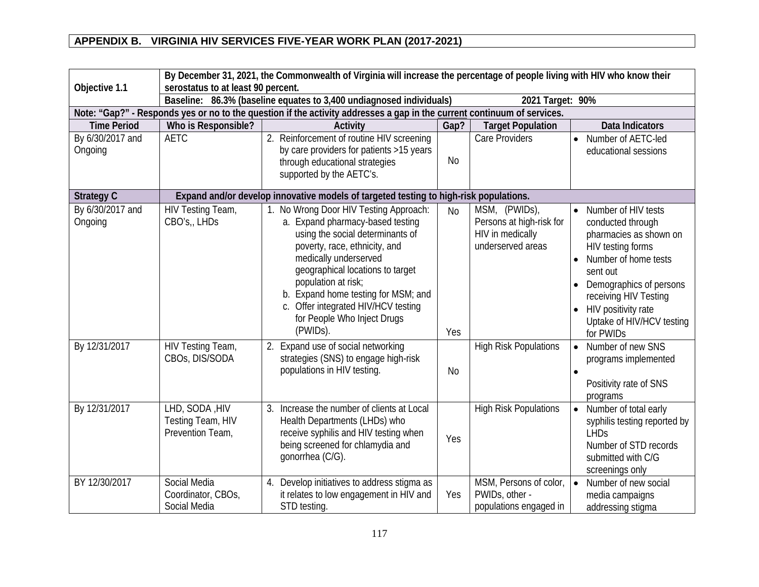| Objective 1.1                                | By December 31, 2021, the Commonwealth of Virginia will increase the percentage of people living with HIV who know their<br>serostatus to at least 90 percent. |                                                                                                                                                                                                                                                                                                                                                                                                    |                  |                                                                                                                    |                                                                                                                                                                                                                                                                                                                                        |  |  |
|----------------------------------------------|----------------------------------------------------------------------------------------------------------------------------------------------------------------|----------------------------------------------------------------------------------------------------------------------------------------------------------------------------------------------------------------------------------------------------------------------------------------------------------------------------------------------------------------------------------------------------|------------------|--------------------------------------------------------------------------------------------------------------------|----------------------------------------------------------------------------------------------------------------------------------------------------------------------------------------------------------------------------------------------------------------------------------------------------------------------------------------|--|--|
|                                              | Baseline: 86.3% (baseline equates to 3,400 undiagnosed individuals)                                                                                            | 2021 Target: 90%                                                                                                                                                                                                                                                                                                                                                                                   |                  |                                                                                                                    |                                                                                                                                                                                                                                                                                                                                        |  |  |
|                                              | Note: "Gap?" - Responds yes or no to the question if the activity addresses a gap in the current continuum of services.                                        |                                                                                                                                                                                                                                                                                                                                                                                                    |                  |                                                                                                                    |                                                                                                                                                                                                                                                                                                                                        |  |  |
| <b>Time Period</b>                           | Who is Responsible?                                                                                                                                            | Activity                                                                                                                                                                                                                                                                                                                                                                                           | Gap?             | <b>Target Population</b>                                                                                           | <b>Data Indicators</b>                                                                                                                                                                                                                                                                                                                 |  |  |
| By 6/30/2017 and<br>Ongoing                  | <b>AETC</b>                                                                                                                                                    | 2. Reinforcement of routine HIV screening<br>by care providers for patients >15 years<br>through educational strategies<br>supported by the AETC's.                                                                                                                                                                                                                                                | <b>No</b>        | <b>Care Providers</b>                                                                                              | Number of AETC-led<br>$\bullet$<br>educational sessions                                                                                                                                                                                                                                                                                |  |  |
| <b>Strategy C</b>                            |                                                                                                                                                                | Expand and/or develop innovative models of targeted testing to high-risk populations.                                                                                                                                                                                                                                                                                                              |                  |                                                                                                                    |                                                                                                                                                                                                                                                                                                                                        |  |  |
| By 6/30/2017 and<br>Ongoing<br>By 12/31/2017 | HIV Testing Team,<br>CBO's,, LHDs<br>HIV Testing Team,                                                                                                         | 1. No Wrong Door HIV Testing Approach:<br>a. Expand pharmacy-based testing<br>using the social determinants of<br>poverty, race, ethnicity, and<br>medically underserved<br>geographical locations to target<br>population at risk;<br>b. Expand home testing for MSM; and<br>c. Offer integrated HIV/HCV testing<br>for People Who Inject Drugs<br>(PWIDs).<br>2. Expand use of social networking | <b>No</b><br>Yes | MSM, (PWIDs),<br>Persons at high-risk for<br>HIV in medically<br>underserved areas<br><b>High Risk Populations</b> | Number of HIV tests<br>$\bullet$<br>conducted through<br>pharmacies as shown on<br>HIV testing forms<br>Number of home tests<br>$\bullet$<br>sent out<br>Demographics of persons<br>$\bullet$<br>receiving HIV Testing<br>HIV positivity rate<br>$\bullet$<br>Uptake of HIV/HCV testing<br>for PWIDs<br>Number of new SNS<br>$\bullet$ |  |  |
|                                              | CBOs, DIS/SODA                                                                                                                                                 | strategies (SNS) to engage high-risk<br>populations in HIV testing.                                                                                                                                                                                                                                                                                                                                | <b>No</b>        |                                                                                                                    | programs implemented<br>Positivity rate of SNS<br>programs                                                                                                                                                                                                                                                                             |  |  |
| By 12/31/2017                                | LHD, SODA, HIV<br>Testing Team, HIV<br>Prevention Team,                                                                                                        | 3. Increase the number of clients at Local<br>Health Departments (LHDs) who<br>receive syphilis and HIV testing when<br>being screened for chlamydia and<br>gonorrhea (C/G).                                                                                                                                                                                                                       | Yes              | <b>High Risk Populations</b>                                                                                       | Number of total early<br>$\bullet$<br>syphilis testing reported by<br><b>LHDs</b><br>Number of STD records<br>submitted with C/G<br>screenings only                                                                                                                                                                                    |  |  |
| BY 12/30/2017                                | Social Media<br>Coordinator, CBOs,<br>Social Media                                                                                                             | 4. Develop initiatives to address stigma as<br>it relates to low engagement in HIV and<br>STD testing.                                                                                                                                                                                                                                                                                             | Yes              | MSM, Persons of color,<br>PWIDs, other -<br>populations engaged in                                                 | $\bullet$<br>Number of new social<br>media campaigns<br>addressing stigma                                                                                                                                                                                                                                                              |  |  |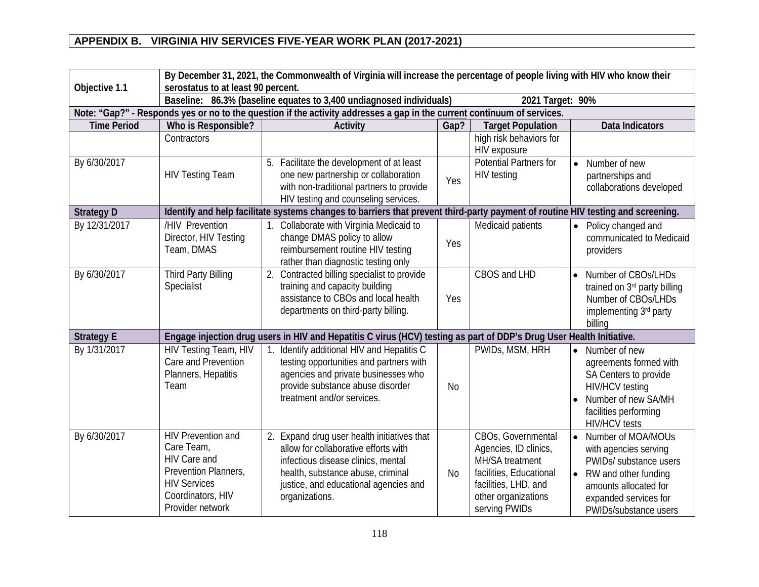| Objective 1.1      | By December 31, 2021, the Commonwealth of Virginia will increase the percentage of people living with HIV who know their<br>serostatus to at least 90 percent. |                                                                                                                                                                                                                           |           |                                                                                                                                                           |                                                                                                                                                                                                    |  |
|--------------------|----------------------------------------------------------------------------------------------------------------------------------------------------------------|---------------------------------------------------------------------------------------------------------------------------------------------------------------------------------------------------------------------------|-----------|-----------------------------------------------------------------------------------------------------------------------------------------------------------|----------------------------------------------------------------------------------------------------------------------------------------------------------------------------------------------------|--|
|                    |                                                                                                                                                                | Baseline: 86.3% (baseline equates to 3,400 undiagnosed individuals)<br>2021 Target: 90%                                                                                                                                   |           |                                                                                                                                                           |                                                                                                                                                                                                    |  |
|                    |                                                                                                                                                                | Note: "Gap?" - Responds yes or no to the question if the activity addresses a gap in the current continuum of services.                                                                                                   |           |                                                                                                                                                           |                                                                                                                                                                                                    |  |
| <b>Time Period</b> | Who is Responsible?                                                                                                                                            | Activity                                                                                                                                                                                                                  | Gap?      | <b>Target Population</b>                                                                                                                                  | <b>Data Indicators</b>                                                                                                                                                                             |  |
|                    | Contractors                                                                                                                                                    |                                                                                                                                                                                                                           |           | high risk behaviors for<br>HIV exposure                                                                                                                   |                                                                                                                                                                                                    |  |
| By 6/30/2017       | <b>HIV Testing Team</b>                                                                                                                                        | 5. Facilitate the development of at least<br>one new partnership or collaboration<br>with non-traditional partners to provide<br>HIV testing and counseling services.                                                     | Yes       | <b>Potential Partners for</b><br><b>HIV</b> testing                                                                                                       | Number of new<br>$\bullet$<br>partnerships and<br>collaborations developed                                                                                                                         |  |
| <b>Strategy D</b>  |                                                                                                                                                                | Identify and help facilitate systems changes to barriers that prevent third-party payment of routine HIV testing and screening.                                                                                           |           |                                                                                                                                                           |                                                                                                                                                                                                    |  |
| By 12/31/2017      | /HIV Prevention<br>Director, HIV Testing<br>Team, DMAS                                                                                                         | 1. Collaborate with Virginia Medicaid to<br>change DMAS policy to allow<br>reimbursement routine HIV testing<br>rather than diagnostic testing only                                                                       | Yes       | Medicaid patients                                                                                                                                         | Policy changed and<br>$\bullet$<br>communicated to Medicaid<br>providers                                                                                                                           |  |
| By 6/30/2017       | <b>Third Party Billing</b><br>Specialist                                                                                                                       | 2. Contracted billing specialist to provide<br>training and capacity building<br>assistance to CBOs and local health<br>departments on third-party billing.                                                               | Yes       | <b>CBOS and LHD</b>                                                                                                                                       | Number of CBOs/LHDs<br>$\bullet$<br>trained on 3rd party billing<br>Number of CBOs/LHDs<br>implementing 3rd party<br>billing                                                                       |  |
| <b>Strategy E</b>  |                                                                                                                                                                | Engage injection drug users in HIV and Hepatitis C virus (HCV) testing as part of DDP's Drug User Health Initiative.                                                                                                      |           |                                                                                                                                                           |                                                                                                                                                                                                    |  |
| By 1/31/2017       | HIV Testing Team, HIV<br>Care and Prevention<br>Planners, Hepatitis<br>Team                                                                                    | 1. Identify additional HIV and Hepatitis C<br>testing opportunities and partners with<br>agencies and private businesses who<br>provide substance abuse disorder<br>treatment and/or services.                            | <b>No</b> | PWIDs, MSM, HRH                                                                                                                                           | Number of new<br>agreements formed with<br>SA Centers to provide<br><b>HIV/HCV</b> testing<br>Number of new SA/MH<br>$\bullet$<br>facilities performing<br><b>HIV/HCV</b> tests                    |  |
| By 6/30/2017       | <b>HIV Prevention and</b><br>Care Team,<br><b>HIV Care and</b><br>Prevention Planners,<br><b>HIV Services</b><br>Coordinators, HIV<br>Provider network         | 2. Expand drug user health initiatives that<br>allow for collaborative efforts with<br>infectious disease clinics, mental<br>health, substance abuse, criminal<br>justice, and educational agencies and<br>organizations. | <b>No</b> | CBOs, Governmental<br>Agencies, ID clinics,<br>MH/SA treatment<br>facilities, Educational<br>facilities, LHD, and<br>other organizations<br>serving PWIDs | $\bullet$<br>Number of MOA/MOUs<br>with agencies serving<br>PWIDs/ substance users<br>RW and other funding<br>$\bullet$<br>amounts allocated for<br>expanded services for<br>PWIDs/substance users |  |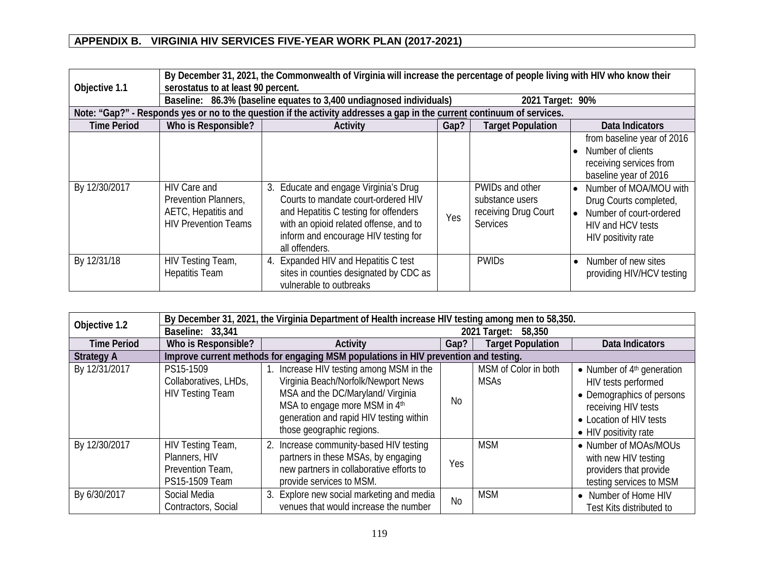| By December 31, 2021, the Commonwealth of Virginia will increase the percentage of people living with HIV who know their<br>serostatus to at least 90 percent.<br>Objective 1.1 |                                                                                            |                                                                                                                                                                    |      |                                                                               |                                                                                                                                                                                                 |
|---------------------------------------------------------------------------------------------------------------------------------------------------------------------------------|--------------------------------------------------------------------------------------------|--------------------------------------------------------------------------------------------------------------------------------------------------------------------|------|-------------------------------------------------------------------------------|-------------------------------------------------------------------------------------------------------------------------------------------------------------------------------------------------|
|                                                                                                                                                                                 |                                                                                            | Baseline: 86.3% (baseline equates to 3,400 undiagnosed individuals)                                                                                                |      | 2021 Target: 90%                                                              |                                                                                                                                                                                                 |
|                                                                                                                                                                                 |                                                                                            | Note: "Gap?" - Responds yes or no to the question if the activity addresses a gap in the current continuum of services.                                            |      |                                                                               |                                                                                                                                                                                                 |
| <b>Time Period</b>                                                                                                                                                              | Who is Responsible?                                                                        | Activity                                                                                                                                                           | Gap? | <b>Target Population</b>                                                      | Data Indicators                                                                                                                                                                                 |
| By 12/30/2017                                                                                                                                                                   | HIV Care and<br>Prevention Planners,<br>AETC, Hepatitis and<br><b>HIV Prevention Teams</b> | Educate and engage Virginia's Drug<br>3.<br>Courts to mandate court-ordered HIV<br>and Hepatitis C testing for offenders<br>with an opioid related offense, and to | Yes  | PWIDs and other<br>substance users<br>receiving Drug Court<br><b>Services</b> | from baseline year of 2016<br>Number of clients<br>receiving services from<br>baseline year of 2016<br>Number of MOA/MOU with<br>$\bullet$<br>Drug Courts completed,<br>Number of court-ordered |
|                                                                                                                                                                                 |                                                                                            | inform and encourage HIV testing for<br>all offenders.                                                                                                             |      |                                                                               | HIV and HCV tests<br>HIV positivity rate                                                                                                                                                        |
| By 12/31/18                                                                                                                                                                     | HIV Testing Team,<br><b>Hepatitis Team</b>                                                 | 4. Expanded HIV and Hepatitis C test<br>sites in counties designated by CDC as<br>vulnerable to outbreaks                                                          |      | <b>PWIDs</b>                                                                  | Number of new sites<br>$\bullet$<br>providing HIV/HCV testing                                                                                                                                   |

| Objective 1.2      | By December 31, 2021, the Virginia Department of Health increase HIV testing among men to 58,350. |                                                                                                                                                                                                                               |           |                                     |                                                                                                                                                             |  |  |
|--------------------|---------------------------------------------------------------------------------------------------|-------------------------------------------------------------------------------------------------------------------------------------------------------------------------------------------------------------------------------|-----------|-------------------------------------|-------------------------------------------------------------------------------------------------------------------------------------------------------------|--|--|
|                    | Baseline: 33,341                                                                                  |                                                                                                                                                                                                                               |           | 2021 Target: 58,350                 |                                                                                                                                                             |  |  |
| <b>Time Period</b> | Who is Responsible?                                                                               | Activity                                                                                                                                                                                                                      | Gap?      | <b>Target Population</b>            | Data Indicators                                                                                                                                             |  |  |
| <b>Strategy A</b>  |                                                                                                   | Improve current methods for engaging MSM populations in HIV prevention and testing.                                                                                                                                           |           |                                     |                                                                                                                                                             |  |  |
| By 12/31/2017      | PS15-1509<br>Collaboratives, LHDs,<br><b>HIV Testing Team</b>                                     | 1. Increase HIV testing among MSM in the<br>Virginia Beach/Norfolk/Newport News<br>MSA and the DC/Maryland/ Virginia<br>MSA to engage more MSM in 4th<br>generation and rapid HIV testing within<br>those geographic regions. | <b>No</b> | MSM of Color in both<br><b>MSAs</b> | • Number of $4th$ generation<br>HIV tests performed<br>• Demographics of persons<br>receiving HIV tests<br>• Location of HIV tests<br>• HIV positivity rate |  |  |
| By 12/30/2017      | HIV Testing Team,<br>Planners, HIV<br>Prevention Team,<br>PS15-1509 Team                          | 2. Increase community-based HIV testing<br>partners in these MSAs, by engaging<br>new partners in collaborative efforts to<br>provide services to MSM.                                                                        | Yes       | <b>MSM</b>                          | • Number of MOAs/MOUs<br>with new HIV testing<br>providers that provide<br>testing services to MSM                                                          |  |  |
| By 6/30/2017       | Social Media<br>Contractors, Social                                                               | 3. Explore new social marketing and media<br>venues that would increase the number                                                                                                                                            | <b>No</b> | <b>MSM</b>                          | Number of Home HIV<br>$\bullet$<br>Test Kits distributed to                                                                                                 |  |  |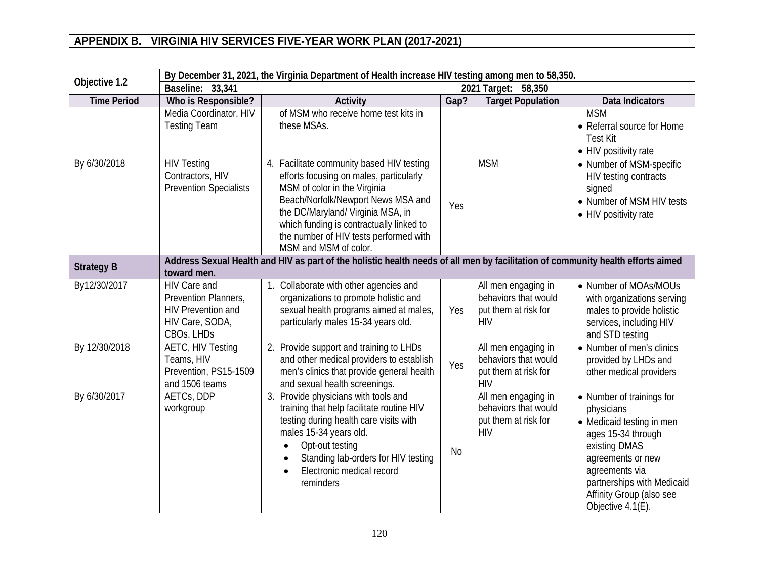| By December 31, 2021, the Virginia Department of Health increase HIV testing among men to 58,350.<br>Objective 1.2 |                                                                                             |                                                                                                                                                                                                                                                                                                                |      |                                                                                   |                                                                                                                                                                                                                                   |
|--------------------------------------------------------------------------------------------------------------------|---------------------------------------------------------------------------------------------|----------------------------------------------------------------------------------------------------------------------------------------------------------------------------------------------------------------------------------------------------------------------------------------------------------------|------|-----------------------------------------------------------------------------------|-----------------------------------------------------------------------------------------------------------------------------------------------------------------------------------------------------------------------------------|
|                                                                                                                    | Baseline: 33,341                                                                            |                                                                                                                                                                                                                                                                                                                |      | 2021 Target: 58,350                                                               |                                                                                                                                                                                                                                   |
| <b>Time Period</b>                                                                                                 | Who is Responsible?                                                                         | Activity                                                                                                                                                                                                                                                                                                       | Gap? | <b>Target Population</b>                                                          | Data Indicators                                                                                                                                                                                                                   |
|                                                                                                                    | Media Coordinator, HIV<br><b>Testing Team</b>                                               | of MSM who receive home test kits in<br>these MSAs.                                                                                                                                                                                                                                                            |      |                                                                                   | <b>MSM</b><br>• Referral source for Home<br><b>Test Kit</b><br>• HIV positivity rate                                                                                                                                              |
| By 6/30/2018                                                                                                       | <b>HIV Testing</b><br>Contractors, HIV<br><b>Prevention Specialists</b>                     | 4. Facilitate community based HIV testing<br>efforts focusing on males, particularly<br>MSM of color in the Virginia<br>Beach/Norfolk/Newport News MSA and<br>the DC/Maryland/ Virginia MSA, in<br>which funding is contractually linked to<br>the number of HIV tests performed with<br>MSM and MSM of color. | Yes  | <b>MSM</b>                                                                        | • Number of MSM-specific<br>HIV testing contracts<br>signed<br>• Number of MSM HIV tests<br>• HIV positivity rate                                                                                                                 |
| <b>Strategy B</b>                                                                                                  | toward men.                                                                                 | Address Sexual Health and HIV as part of the holistic health needs of all men by facilitation of community health efforts aimed                                                                                                                                                                                |      |                                                                                   |                                                                                                                                                                                                                                   |
| By12/30/2017                                                                                                       | HIV Care and<br>Prevention Planners,<br>HIV Prevention and<br>HIV Care, SODA,<br>CBOs, LHDs | 1. Collaborate with other agencies and<br>organizations to promote holistic and<br>sexual health programs aimed at males,<br>particularly males 15-34 years old.                                                                                                                                               | Yes  | All men engaging in<br>behaviors that would<br>put them at risk for<br><b>HIV</b> | • Number of MOAs/MOUs<br>with organizations serving<br>males to provide holistic<br>services, including HIV<br>and STD testing                                                                                                    |
| By 12/30/2018                                                                                                      | <b>AETC, HIV Testing</b><br>Teams, HIV<br>Prevention, PS15-1509<br>and 1506 teams           | 2. Provide support and training to LHDs<br>and other medical providers to establish<br>men's clinics that provide general health<br>and sexual health screenings.                                                                                                                                              | Yes  | All men engaging in<br>behaviors that would<br>put them at risk for<br><b>HIV</b> | • Number of men's clinics<br>provided by LHDs and<br>other medical providers                                                                                                                                                      |
| By 6/30/2017                                                                                                       | AETCs, DDP<br>workgroup                                                                     | 3. Provide physicians with tools and<br>training that help facilitate routine HIV<br>testing during health care visits with<br>males 15-34 years old.<br>Opt-out testing<br>Standing lab-orders for HIV testing<br>Electronic medical record<br>reminders                                                      | No   | All men engaging in<br>behaviors that would<br>put them at risk for<br><b>HIV</b> | • Number of trainings for<br>physicians<br>• Medicaid testing in men<br>ages 15-34 through<br>existing DMAS<br>agreements or new<br>agreements via<br>partnerships with Medicaid<br>Affinity Group (also see<br>Objective 4.1(E). |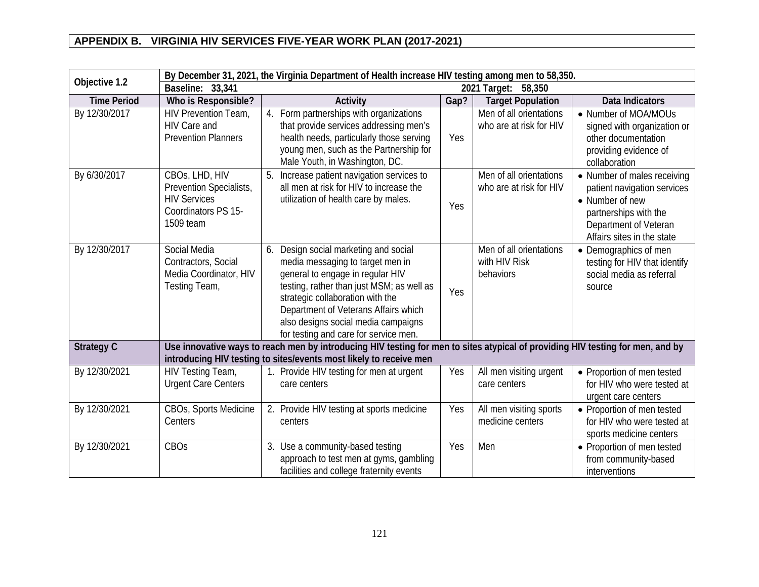| By December 31, 2021, the Virginia Department of Health increase HIV testing among men to 58,350. |                                                                                                      |                                                                                                                                                                                                                                                                                                                           |      |                                                       |                                                                                                                                                               |
|---------------------------------------------------------------------------------------------------|------------------------------------------------------------------------------------------------------|---------------------------------------------------------------------------------------------------------------------------------------------------------------------------------------------------------------------------------------------------------------------------------------------------------------------------|------|-------------------------------------------------------|---------------------------------------------------------------------------------------------------------------------------------------------------------------|
| Objective 1.2                                                                                     | Baseline: 33,341                                                                                     |                                                                                                                                                                                                                                                                                                                           |      | 2021 Target: 58,350                                   |                                                                                                                                                               |
| <b>Time Period</b>                                                                                | Who is Responsible?                                                                                  | Activity                                                                                                                                                                                                                                                                                                                  | Gap? | <b>Target Population</b>                              | Data Indicators                                                                                                                                               |
| By 12/30/2017                                                                                     | <b>HIV Prevention Team,</b><br>HIV Care and<br><b>Prevention Planners</b>                            | Form partnerships with organizations<br>4.<br>that provide services addressing men's<br>health needs, particularly those serving<br>young men, such as the Partnership for<br>Male Youth, in Washington, DC.                                                                                                              | Yes  | Men of all orientations<br>who are at risk for HIV    | • Number of MOA/MOUs<br>signed with organization or<br>other documentation<br>providing evidence of<br>collaboration                                          |
| By 6/30/2017                                                                                      | CBOs, LHD, HIV<br>Prevention Specialists,<br><b>HIV Services</b><br>Coordinators PS 15-<br>1509 team | 5. Increase patient navigation services to<br>all men at risk for HIV to increase the<br>utilization of health care by males.                                                                                                                                                                                             | Yes  | Men of all orientations<br>who are at risk for HIV    | • Number of males receiving<br>patient navigation services<br>• Number of new<br>partnerships with the<br>Department of Veteran<br>Affairs sites in the state |
| By 12/30/2017                                                                                     | Social Media<br>Contractors, Social<br>Media Coordinator, HIV<br>Testing Team,                       | Design social marketing and social<br>6.<br>media messaging to target men in<br>general to engage in regular HIV<br>testing, rather than just MSM; as well as<br>strategic collaboration with the<br>Department of Veterans Affairs which<br>also designs social media campaigns<br>for testing and care for service men. | Yes  | Men of all orientations<br>with HIV Risk<br>behaviors | • Demographics of men<br>testing for HIV that identify<br>social media as referral<br>source                                                                  |
| <b>Strategy C</b>                                                                                 |                                                                                                      | Use innovative ways to reach men by introducing HIV testing for men to sites atypical of providing HIV testing for men, and by<br>introducing HIV testing to sites/events most likely to receive men                                                                                                                      |      |                                                       |                                                                                                                                                               |
| By 12/30/2021                                                                                     | <b>HIV Testing Team,</b><br><b>Urgent Care Centers</b>                                               | 1. Provide HIV testing for men at urgent<br>care centers                                                                                                                                                                                                                                                                  | Yes  | All men visiting urgent<br>care centers               | • Proportion of men tested<br>for HIV who were tested at<br>urgent care centers                                                                               |
| By 12/30/2021                                                                                     | CBOs, Sports Medicine<br>Centers                                                                     | 2. Provide HIV testing at sports medicine<br>centers                                                                                                                                                                                                                                                                      | Yes  | All men visiting sports<br>medicine centers           | • Proportion of men tested<br>for HIV who were tested at<br>sports medicine centers                                                                           |
| By 12/30/2021                                                                                     | CBOs                                                                                                 | 3. Use a community-based testing<br>approach to test men at gyms, gambling<br>facilities and college fraternity events                                                                                                                                                                                                    | Yes  | Men                                                   | • Proportion of men tested<br>from community-based<br>interventions                                                                                           |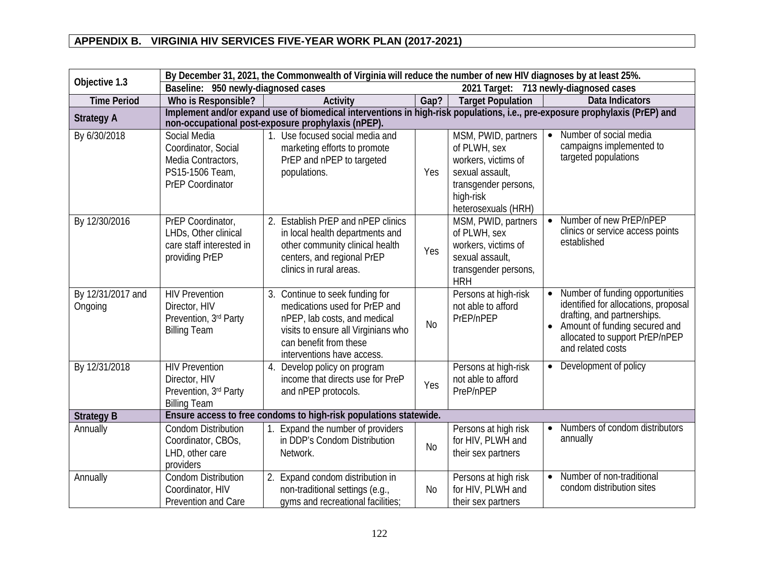| By December 31, 2021, the Commonwealth of Virginia will reduce the number of new HIV diagnoses by at least 25%.<br>Objective 1.3 |                                                                                                         |                                                                                                                                                                                                 |           |                                                                                                                                           |                                                                                                                                                                                                |
|----------------------------------------------------------------------------------------------------------------------------------|---------------------------------------------------------------------------------------------------------|-------------------------------------------------------------------------------------------------------------------------------------------------------------------------------------------------|-----------|-------------------------------------------------------------------------------------------------------------------------------------------|------------------------------------------------------------------------------------------------------------------------------------------------------------------------------------------------|
|                                                                                                                                  | Baseline: 950 newly-diagnosed cases                                                                     |                                                                                                                                                                                                 |           |                                                                                                                                           | 2021 Target: 713 newly-diagnosed cases                                                                                                                                                         |
| <b>Time Period</b>                                                                                                               | Who is Responsible?                                                                                     | Activity                                                                                                                                                                                        | Gap?      | <b>Target Population</b>                                                                                                                  | Data Indicators                                                                                                                                                                                |
| <b>Strategy A</b>                                                                                                                |                                                                                                         | Implement and/or expand use of biomedical interventions in high-risk populations, i.e., pre-exposure prophylaxis (PrEP) and<br>non-occupational post-exposure prophylaxis (nPEP).               |           |                                                                                                                                           |                                                                                                                                                                                                |
| By 6/30/2018                                                                                                                     | Social Media<br>Coordinator, Social<br>Media Contractors,<br>PS15-1506 Team,<br><b>PrEP Coordinator</b> | 1. Use focused social media and<br>marketing efforts to promote<br>PrEP and nPEP to targeted<br>populations.                                                                                    | Yes       | MSM, PWID, partners<br>of PLWH, sex<br>workers, victims of<br>sexual assault,<br>transgender persons,<br>high-risk<br>heterosexuals (HRH) | Number of social media<br>campaigns implemented to<br>targeted populations                                                                                                                     |
| By 12/30/2016                                                                                                                    | PrEP Coordinator,<br>LHDs, Other clinical<br>care staff interested in<br>providing PrEP                 | 2. Establish PrEP and nPEP clinics<br>in local health departments and<br>other community clinical health<br>centers, and regional PrEP<br>clinics in rural areas.                               | Yes       | MSM, PWID, partners<br>of PLWH, sex<br>workers, victims of<br>sexual assault,<br>transgender persons,<br><b>HRH</b>                       | Number of new PrEP/nPEP<br>clinics or service access points<br>established                                                                                                                     |
| By 12/31/2017 and<br>Ongoing                                                                                                     | <b>HIV Prevention</b><br>Director, HIV<br>Prevention, 3rd Party<br><b>Billing Team</b>                  | 3. Continue to seek funding for<br>medications used for PrEP and<br>nPEP, lab costs, and medical<br>visits to ensure all Virginians who<br>can benefit from these<br>interventions have access. | <b>No</b> | Persons at high-risk<br>not able to afford<br>PrEP/nPEP                                                                                   | Number of funding opportunities<br>identified for allocations, proposal<br>drafting, and partnerships.<br>Amount of funding secured and<br>allocated to support PrEP/nPEP<br>and related costs |
| By 12/31/2018                                                                                                                    | <b>HIV Prevention</b><br>Director, HIV<br>Prevention, 3rd Party<br><b>Billing Team</b>                  | 4. Develop policy on program<br>income that directs use for PreP<br>and nPEP protocols.                                                                                                         | Yes       | Persons at high-risk<br>not able to afford<br>PreP/nPEP                                                                                   | Development of policy<br>$\bullet$                                                                                                                                                             |
| <b>Strategy B</b>                                                                                                                |                                                                                                         | Ensure access to free condoms to high-risk populations statewide.                                                                                                                               |           |                                                                                                                                           |                                                                                                                                                                                                |
| Annually                                                                                                                         | <b>Condom Distribution</b><br>Coordinator, CBOs,<br>LHD, other care<br>providers                        | Expand the number of providers<br>in DDP's Condom Distribution<br>Network.                                                                                                                      | <b>No</b> | Persons at high risk<br>for HIV, PLWH and<br>their sex partners                                                                           | Numbers of condom distributors<br>$\bullet$<br>annually                                                                                                                                        |
| Annually                                                                                                                         | <b>Condom Distribution</b><br>Coordinator, HIV<br>Prevention and Care                                   | 2. Expand condom distribution in<br>non-traditional settings (e.g.,<br>gyms and recreational facilities;                                                                                        | <b>No</b> | Persons at high risk<br>for HIV, PLWH and<br>their sex partners                                                                           | Number of non-traditional<br>$\bullet$<br>condom distribution sites                                                                                                                            |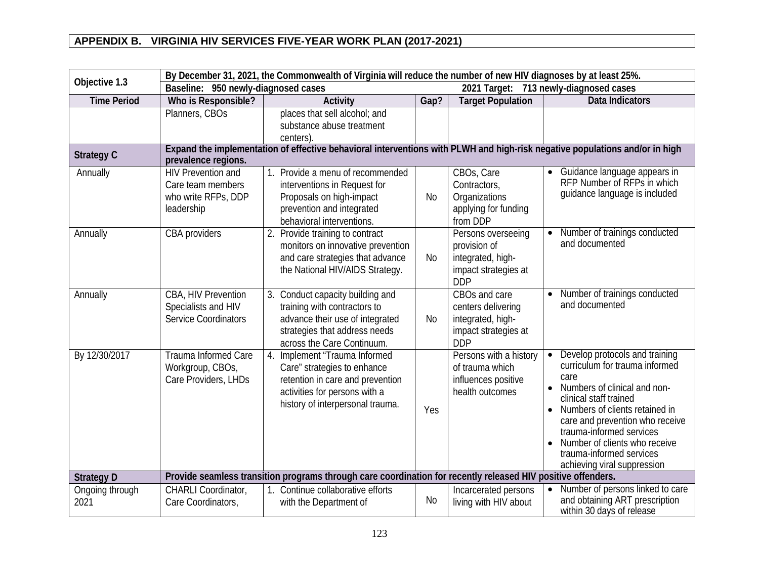| Objective 1.3           | By December 31, 2021, the Commonwealth of Virginia will reduce the number of new HIV diagnoses by at least 25%. |                                                                                                                                                                                                       |           |                                                                                                |                                                                                                                                                                                                                                                                                                                                              |  |
|-------------------------|-----------------------------------------------------------------------------------------------------------------|-------------------------------------------------------------------------------------------------------------------------------------------------------------------------------------------------------|-----------|------------------------------------------------------------------------------------------------|----------------------------------------------------------------------------------------------------------------------------------------------------------------------------------------------------------------------------------------------------------------------------------------------------------------------------------------------|--|
|                         | Baseline: 950 newly-diagnosed cases                                                                             |                                                                                                                                                                                                       |           |                                                                                                | 2021 Target: 713 newly-diagnosed cases                                                                                                                                                                                                                                                                                                       |  |
| <b>Time Period</b>      | Who is Responsible?                                                                                             | Activity                                                                                                                                                                                              | Gap?      | <b>Target Population</b>                                                                       | Data Indicators                                                                                                                                                                                                                                                                                                                              |  |
| <b>Strategy C</b>       | Planners, CBOs                                                                                                  | places that sell alcohol; and<br>substance abuse treatment<br>centers)<br>Expand the implementation of effective behavioral interventions with PLWH and high-risk negative populations and/or in high |           |                                                                                                |                                                                                                                                                                                                                                                                                                                                              |  |
|                         | prevalence regions.                                                                                             |                                                                                                                                                                                                       |           |                                                                                                |                                                                                                                                                                                                                                                                                                                                              |  |
| Annually                | <b>HIV Prevention and</b><br>Care team members<br>who write RFPs, DDP<br>leadership                             | Provide a menu of recommended<br>interventions in Request for<br>Proposals on high-impact<br>prevention and integrated<br>behavioral interventions.                                                   | No        | CBOs, Care<br>Contractors,<br>Organizations<br>applying for funding<br>from DDP                | Guidance language appears in<br>RFP Number of RFPs in which<br>quidance language is included                                                                                                                                                                                                                                                 |  |
| Annually                | CBA providers                                                                                                   | 2. Provide training to contract<br>monitors on innovative prevention<br>and care strategies that advance<br>the National HIV/AIDS Strategy.                                                           | <b>No</b> | Persons overseeing<br>provision of<br>integrated, high-<br>impact strategies at<br><b>DDP</b>  | Number of trainings conducted<br>and documented                                                                                                                                                                                                                                                                                              |  |
| Annually                | CBA, HIV Prevention<br>Specialists and HIV<br><b>Service Coordinators</b>                                       | 3. Conduct capacity building and<br>training with contractors to<br>advance their use of integrated<br>strategies that address needs<br>across the Care Continuum.                                    | <b>No</b> | CBOs and care<br>centers delivering<br>integrated, high-<br>impact strategies at<br><b>DDP</b> | Number of trainings conducted<br>and documented                                                                                                                                                                                                                                                                                              |  |
| By 12/30/2017           | <b>Trauma Informed Care</b><br>Workgroup, CBOs,<br>Care Providers, LHDs                                         | 4. Implement "Trauma Informed<br>Care" strategies to enhance<br>retention in care and prevention<br>activities for persons with a<br>history of interpersonal trauma.                                 | Yes       | Persons with a history<br>of trauma which<br>influences positive<br>health outcomes            | Develop protocols and training<br>curriculum for trauma informed<br>care<br>Numbers of clinical and non-<br>clinical staff trained<br>Numbers of clients retained in<br>care and prevention who receive<br>trauma-informed services<br>Number of clients who receive<br>$\bullet$<br>trauma-informed services<br>achieving viral suppression |  |
| <b>Strategy D</b>       |                                                                                                                 | Provide seamless transition programs through care coordination for recently released HIV positive offenders.                                                                                          |           |                                                                                                |                                                                                                                                                                                                                                                                                                                                              |  |
| Ongoing through<br>2021 | CHARLI Coordinator,<br>Care Coordinators,                                                                       | 1. Continue collaborative efforts<br>with the Department of                                                                                                                                           | No        | Incarcerated persons<br>living with HIV about                                                  | Number of persons linked to care<br>and obtaining ART prescription<br>within 30 days of release                                                                                                                                                                                                                                              |  |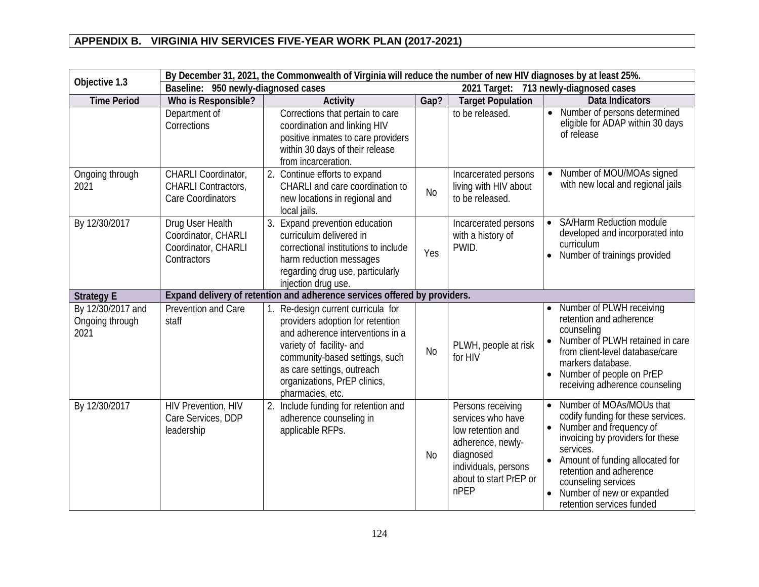| By December 31, 2021, the Commonwealth of Virginia will reduce the number of new HIV diagnoses by at least 25%.<br>Objective 1.3 |                                                                               |                                                                                                                                                                                                                                                         |                |                                                                                                                                                         |                                                                                                                                                                                                                                                                                                        |
|----------------------------------------------------------------------------------------------------------------------------------|-------------------------------------------------------------------------------|---------------------------------------------------------------------------------------------------------------------------------------------------------------------------------------------------------------------------------------------------------|----------------|---------------------------------------------------------------------------------------------------------------------------------------------------------|--------------------------------------------------------------------------------------------------------------------------------------------------------------------------------------------------------------------------------------------------------------------------------------------------------|
|                                                                                                                                  | Baseline: 950 newly-diagnosed cases                                           |                                                                                                                                                                                                                                                         |                |                                                                                                                                                         | 2021 Target: 713 newly-diagnosed cases                                                                                                                                                                                                                                                                 |
| <b>Time Period</b>                                                                                                               | Who is Responsible?                                                           | Activity                                                                                                                                                                                                                                                | Gap?           | <b>Target Population</b>                                                                                                                                | Data Indicators                                                                                                                                                                                                                                                                                        |
|                                                                                                                                  | Department of<br>Corrections                                                  | Corrections that pertain to care<br>coordination and linking HIV<br>positive inmates to care providers<br>within 30 days of their release<br>from incarceration.                                                                                        |                | to be released.                                                                                                                                         | Number of persons determined<br>$\bullet$<br>eligible for ADAP within 30 days<br>of release                                                                                                                                                                                                            |
| Ongoing through<br>2021                                                                                                          | CHARLI Coordinator,<br><b>CHARLI Contractors,</b><br><b>Care Coordinators</b> | 2. Continue efforts to expand<br>CHARLI and care coordination to<br>new locations in regional and<br>local jails.                                                                                                                                       | <b>No</b>      | Incarcerated persons<br>living with HIV about<br>to be released.                                                                                        | Number of MOU/MOAs signed<br>with new local and regional jails                                                                                                                                                                                                                                         |
| By 12/30/2017                                                                                                                    | Drug User Health<br>Coordinator, CHARLI<br>Coordinator, CHARLI<br>Contractors | 3. Expand prevention education<br>curriculum delivered in<br>correctional institutions to include<br>harm reduction messages<br>regarding drug use, particularly<br>injection drug use.                                                                 | Yes            | Incarcerated persons<br>with a history of<br>PWID.                                                                                                      | <b>SA/Harm Reduction module</b><br>developed and incorporated into<br>curriculum<br>Number of trainings provided<br>$\bullet$                                                                                                                                                                          |
| <b>Strategy E</b>                                                                                                                |                                                                               | Expand delivery of retention and adherence services offered by providers.                                                                                                                                                                               |                |                                                                                                                                                         |                                                                                                                                                                                                                                                                                                        |
| By 12/30/2017 and<br>Ongoing through<br>2021                                                                                     | <b>Prevention and Care</b><br>staff                                           | Re-design current curricula for<br>providers adoption for retention<br>and adherence interventions in a<br>variety of facility- and<br>community-based settings, such<br>as care settings, outreach<br>organizations, PrEP clinics,<br>pharmacies, etc. | N <sub>o</sub> | PLWH, people at risk<br>for HIV                                                                                                                         | Number of PLWH receiving<br>retention and adherence<br>counseling<br>Number of PLWH retained in care<br>from client-level database/care<br>markers database.<br>Number of people on PrEP<br>receiving adherence counseling                                                                             |
| By 12/30/2017                                                                                                                    | <b>HIV Prevention, HIV</b><br>Care Services, DDP<br>leadership                | 2. Include funding for retention and<br>adherence counseling in<br>applicable RFPs.                                                                                                                                                                     | No             | Persons receiving<br>services who have<br>low retention and<br>adherence, newly-<br>diagnosed<br>individuals, persons<br>about to start PrEP or<br>nPEP | Number of MOAs/MOUs that<br>codify funding for these services.<br>Number and frequency of<br>invoicing by providers for these<br>services.<br>Amount of funding allocated for<br>$\bullet$<br>retention and adherence<br>counseling services<br>Number of new or expanded<br>retention services funded |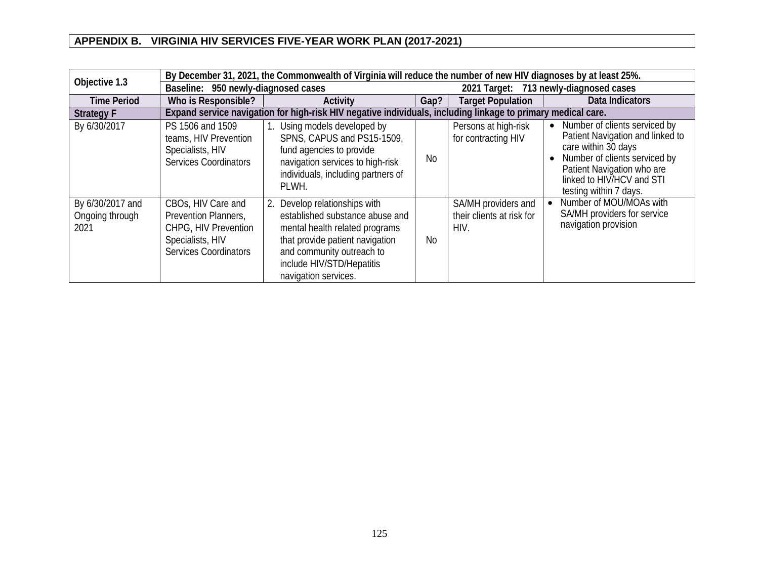| Objective 1.3                               | By December 31, 2021, the Commonwealth of Virginia will reduce the number of new HIV diagnoses by at least 25%.        |                                                                                                                                                                                                                            |           |                                                          |                                                                                                                                                                                                                  |  |
|---------------------------------------------|------------------------------------------------------------------------------------------------------------------------|----------------------------------------------------------------------------------------------------------------------------------------------------------------------------------------------------------------------------|-----------|----------------------------------------------------------|------------------------------------------------------------------------------------------------------------------------------------------------------------------------------------------------------------------|--|
|                                             | Baseline: 950 newly-diagnosed cases                                                                                    |                                                                                                                                                                                                                            |           | 2021 Target: 713 newly-diagnosed cases                   |                                                                                                                                                                                                                  |  |
| <b>Time Period</b>                          | Who is Responsible?                                                                                                    | Activity                                                                                                                                                                                                                   | Gap?      | <b>Target Population</b>                                 | Data Indicators                                                                                                                                                                                                  |  |
| <b>Strategy F</b>                           |                                                                                                                        | Expand service navigation for high-risk HIV negative individuals, including linkage to primary medical care.                                                                                                               |           |                                                          |                                                                                                                                                                                                                  |  |
| By 6/30/2017                                | PS 1506 and 1509<br>teams, HIV Prevention<br>Specialists, HIV<br><b>Services Coordinators</b>                          | Using models developed by<br>SPNS, CAPUS and PS15-1509,<br>fund agencies to provide<br>navigation services to high-risk<br>individuals, including partners of<br>PLWH.                                                     | <b>No</b> | Persons at high-risk<br>for contracting HIV              | • Number of clients serviced by<br>Patient Navigation and linked to<br>care within 30 days<br>Number of clients serviced by<br>Patient Navigation who are<br>linked to HIV/HCV and STI<br>testing within 7 days. |  |
| By 6/30/2017 and<br>Ongoing through<br>2021 | CBOs, HIV Care and<br>Prevention Planners,<br>CHPG, HIV Prevention<br>Specialists, HIV<br><b>Services Coordinators</b> | Develop relationships with<br>2.<br>established substance abuse and<br>mental health related programs<br>that provide patient navigation<br>and community outreach to<br>include HIV/STD/Hepatitis<br>navigation services. | No        | SA/MH providers and<br>their clients at risk for<br>HIV. | Number of MOU/MOAs with<br>SA/MH providers for service<br>navigation provision                                                                                                                                   |  |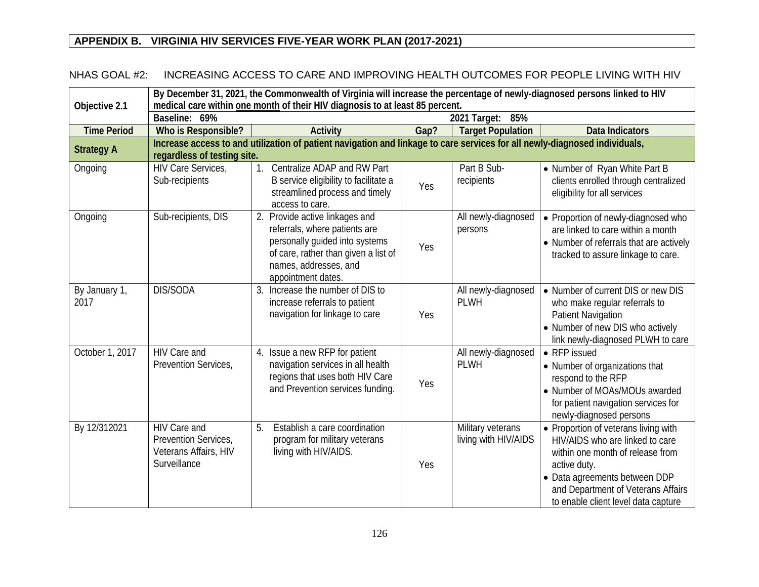#### NHAS GOAL #2: INCREASING ACCESS TO CARE AND IMPROVING HEALTH OUTCOMES FOR PEOPLE LIVING WITH HIV

| Objective 2.1         | By December 31, 2021, the Commonwealth of Virginia will increase the percentage of newly-diagnosed persons linked to HIV<br>medical care within one month of their HIV diagnosis to at least 85 percent.<br>2021 Target:<br>Baseline: 69%<br>85% |                                                                                                                                                                                          |      |                                           |                                                                                                                                                                                                                                           |  |  |
|-----------------------|--------------------------------------------------------------------------------------------------------------------------------------------------------------------------------------------------------------------------------------------------|------------------------------------------------------------------------------------------------------------------------------------------------------------------------------------------|------|-------------------------------------------|-------------------------------------------------------------------------------------------------------------------------------------------------------------------------------------------------------------------------------------------|--|--|
|                       |                                                                                                                                                                                                                                                  |                                                                                                                                                                                          |      |                                           |                                                                                                                                                                                                                                           |  |  |
| <b>Time Period</b>    | Who is Responsible?                                                                                                                                                                                                                              | <b>Activity</b>                                                                                                                                                                          | Gap? | <b>Target Population</b>                  | <b>Data Indicators</b>                                                                                                                                                                                                                    |  |  |
| <b>Strategy A</b>     | regardless of testing site.                                                                                                                                                                                                                      | Increase access to and utilization of patient navigation and linkage to care services for all newly-diagnosed individuals,                                                               |      |                                           |                                                                                                                                                                                                                                           |  |  |
| Ongoing               | HIV Care Services,<br>Sub-recipients                                                                                                                                                                                                             | Centralize ADAP and RW Part<br>1 <sub>1</sub><br>B service eligibility to facilitate a<br>streamlined process and timely<br>access to care.                                              | Yes  | Part B Sub-<br>recipients                 | • Number of Ryan White Part B<br>clients enrolled through centralized<br>eligibility for all services                                                                                                                                     |  |  |
| Ongoing               | Sub-recipients, DIS                                                                                                                                                                                                                              | 2. Provide active linkages and<br>referrals, where patients are<br>personally quided into systems<br>of care, rather than given a list of<br>names, addresses, and<br>appointment dates. | Yes  | All newly-diagnosed<br>persons            | • Proportion of newly-diagnosed who<br>are linked to care within a month<br>• Number of referrals that are actively<br>tracked to assure linkage to care.                                                                                 |  |  |
| By January 1,<br>2017 | DIS/SODA                                                                                                                                                                                                                                         | 3. Increase the number of DIS to<br>increase referrals to patient<br>navigation for linkage to care                                                                                      | Yes  | All newly-diagnosed<br><b>PLWH</b>        | • Number of current DIS or new DIS<br>who make regular referrals to<br><b>Patient Navigation</b><br>• Number of new DIS who actively<br>link newly-diagnosed PLWH to care                                                                 |  |  |
| October 1, 2017       | HIV Care and<br>Prevention Services,                                                                                                                                                                                                             | 4. Issue a new RFP for patient<br>navigation services in all health<br>regions that uses both HIV Care<br>and Prevention services funding.                                               | Yes  | All newly-diagnosed<br><b>PLWH</b>        | • RFP issued<br>• Number of organizations that<br>respond to the RFP<br>• Number of MOAs/MOUs awarded<br>for patient navigation services for<br>newly-diagnosed persons                                                                   |  |  |
| By 12/312021          | HIV Care and<br>Prevention Services,<br>Veterans Affairs, HIV<br>Surveillance                                                                                                                                                                    | 5.<br>Establish a care coordination<br>program for military veterans<br>living with HIV/AIDS.                                                                                            | Yes  | Military veterans<br>living with HIV/AIDS | • Proportion of veterans living with<br>HIV/AIDS who are linked to care<br>within one month of release from<br>active duty.<br>• Data agreements between DDP<br>and Department of Veterans Affairs<br>to enable client level data capture |  |  |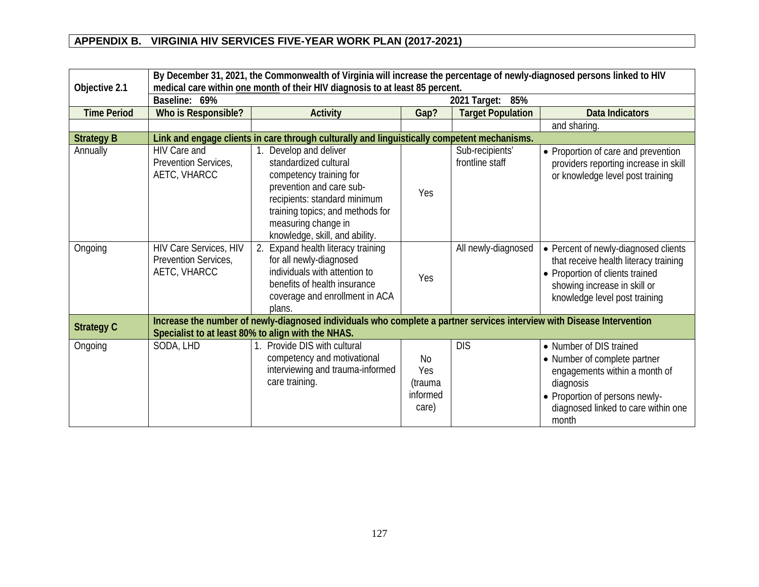| Objective 2.1      | By December 31, 2021, the Commonwealth of Virginia will increase the percentage of newly-diagnosed persons linked to HIV<br>medical care within one month of their HIV diagnosis to at least 85 percent. |                                                                                                                                                                                                                                     |                                                              |                                    |                                                                                                                                                                                         |  |  |  |  |  |  |
|--------------------|----------------------------------------------------------------------------------------------------------------------------------------------------------------------------------------------------------|-------------------------------------------------------------------------------------------------------------------------------------------------------------------------------------------------------------------------------------|--------------------------------------------------------------|------------------------------------|-----------------------------------------------------------------------------------------------------------------------------------------------------------------------------------------|--|--|--|--|--|--|
|                    | Baseline: 69%                                                                                                                                                                                            |                                                                                                                                                                                                                                     | 2021 Target:<br>85%                                          |                                    |                                                                                                                                                                                         |  |  |  |  |  |  |
| <b>Time Period</b> | Who is Responsible?                                                                                                                                                                                      | <b>Activity</b>                                                                                                                                                                                                                     | Gap?                                                         | <b>Target Population</b>           | <b>Data Indicators</b>                                                                                                                                                                  |  |  |  |  |  |  |
|                    |                                                                                                                                                                                                          |                                                                                                                                                                                                                                     |                                                              |                                    | and sharing.                                                                                                                                                                            |  |  |  |  |  |  |
| <b>Strategy B</b>  |                                                                                                                                                                                                          | Link and engage clients in care through culturally and linguistically competent mechanisms.                                                                                                                                         |                                                              |                                    |                                                                                                                                                                                         |  |  |  |  |  |  |
| Annually           | <b>HIV Care and</b><br>Prevention Services,<br>AETC, VHARCC                                                                                                                                              | 1. Develop and deliver<br>standardized cultural<br>competency training for<br>prevention and care sub-<br>recipients: standard minimum<br>training topics; and methods for<br>measuring change in<br>knowledge, skill, and ability. | Yes                                                          | Sub-recipients'<br>frontline staff | • Proportion of care and prevention<br>providers reporting increase in skill<br>or knowledge level post training                                                                        |  |  |  |  |  |  |
| Ongoing            | HIV Care Services, HIV<br>Prevention Services,<br>AETC, VHARCC                                                                                                                                           | 2. Expand health literacy training<br>for all newly-diagnosed<br>individuals with attention to<br>benefits of health insurance<br>coverage and enrollment in ACA<br>plans.                                                          | Yes                                                          | All newly-diagnosed                | • Percent of newly-diagnosed clients<br>that receive health literacy training<br>• Proportion of clients trained<br>showing increase in skill or<br>knowledge level post training       |  |  |  |  |  |  |
| <b>Strategy C</b>  |                                                                                                                                                                                                          | Increase the number of newly-diagnosed individuals who complete a partner services interview with Disease Intervention<br>Specialist to at least 80% to align with the NHAS.                                                        |                                                              |                                    |                                                                                                                                                                                         |  |  |  |  |  |  |
| Ongoing            | SODA, LHD                                                                                                                                                                                                | Provide DIS with cultural<br>competency and motivational<br>interviewing and trauma-informed<br>care training.                                                                                                                      | N <sub>0</sub><br><b>Yes</b><br>(trauma<br>informed<br>care) | <b>DIS</b>                         | • Number of DIS trained<br>• Number of complete partner<br>engagements within a month of<br>diagnosis<br>• Proportion of persons newly-<br>diagnosed linked to care within one<br>month |  |  |  |  |  |  |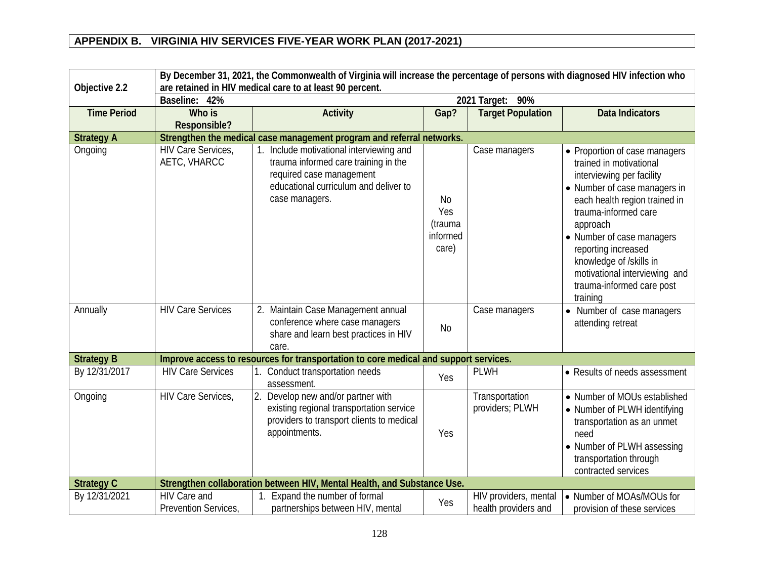| By December 31, 2021, the Commonwealth of Virginia will increase the percentage of persons with diagnosed HIV infection who |                                      |                                                                                                                                                                         |                                           |                                               |                                                                                                                                                                                                                                                                                                                                                     |  |  |  |  |  |  |
|-----------------------------------------------------------------------------------------------------------------------------|--------------------------------------|-------------------------------------------------------------------------------------------------------------------------------------------------------------------------|-------------------------------------------|-----------------------------------------------|-----------------------------------------------------------------------------------------------------------------------------------------------------------------------------------------------------------------------------------------------------------------------------------------------------------------------------------------------------|--|--|--|--|--|--|
| Objective 2.2                                                                                                               |                                      | are retained in HIV medical care to at least 90 percent.                                                                                                                |                                           |                                               |                                                                                                                                                                                                                                                                                                                                                     |  |  |  |  |  |  |
|                                                                                                                             | Baseline: 42%                        |                                                                                                                                                                         |                                           | 2021 Target: 90%                              |                                                                                                                                                                                                                                                                                                                                                     |  |  |  |  |  |  |
| <b>Time Period</b>                                                                                                          | Who is                               | <b>Activity</b>                                                                                                                                                         | Gap?                                      | <b>Target Population</b>                      | <b>Data Indicators</b>                                                                                                                                                                                                                                                                                                                              |  |  |  |  |  |  |
|                                                                                                                             | Responsible?                         |                                                                                                                                                                         |                                           |                                               |                                                                                                                                                                                                                                                                                                                                                     |  |  |  |  |  |  |
| <b>Strategy A</b>                                                                                                           |                                      | Strengthen the medical case management program and referral networks.                                                                                                   |                                           |                                               |                                                                                                                                                                                                                                                                                                                                                     |  |  |  |  |  |  |
| Ongoing                                                                                                                     | HIV Care Services,<br>AETC, VHARCC   | 1. Include motivational interviewing and<br>trauma informed care training in the<br>required case management<br>educational curriculum and deliver to<br>case managers. | No<br>Yes<br>(trauma<br>informed<br>care) | Case managers                                 | • Proportion of case managers<br>trained in motivational<br>interviewing per facility<br>• Number of case managers in<br>each health region trained in<br>trauma-informed care<br>approach<br>• Number of case managers<br>reporting increased<br>knowledge of /skills in<br>motivational interviewing and<br>trauma-informed care post<br>training |  |  |  |  |  |  |
| Annually                                                                                                                    | <b>HIV Care Services</b>             | 2. Maintain Case Management annual<br>conference where case managers<br>share and learn best practices in HIV<br>care.                                                  | <b>No</b>                                 | Case managers                                 | • Number of case managers<br>attending retreat                                                                                                                                                                                                                                                                                                      |  |  |  |  |  |  |
| <b>Strategy B</b>                                                                                                           |                                      | Improve access to resources for transportation to core medical and support services.                                                                                    |                                           |                                               |                                                                                                                                                                                                                                                                                                                                                     |  |  |  |  |  |  |
| By 12/31/2017                                                                                                               | <b>HIV Care Services</b>             | 1. Conduct transportation needs<br>assessment.                                                                                                                          | Yes                                       | <b>PLWH</b>                                   | • Results of needs assessment                                                                                                                                                                                                                                                                                                                       |  |  |  |  |  |  |
| Ongoing                                                                                                                     | <b>HIV Care Services,</b>            | 2. Develop new and/or partner with<br>existing regional transportation service<br>providers to transport clients to medical<br>appointments.                            | Yes                                       | Transportation<br>providers; PLWH             | • Number of MOUs established<br>• Number of PLWH identifying<br>transportation as an unmet<br>need<br>• Number of PLWH assessing<br>transportation through<br>contracted services                                                                                                                                                                   |  |  |  |  |  |  |
| <b>Strategy C</b>                                                                                                           |                                      | Strengthen collaboration between HIV, Mental Health, and Substance Use.                                                                                                 |                                           |                                               |                                                                                                                                                                                                                                                                                                                                                     |  |  |  |  |  |  |
| By 12/31/2021                                                                                                               | HIV Care and<br>Prevention Services, | 1. Expand the number of formal<br>partnerships between HIV, mental                                                                                                      | Yes                                       | HIV providers, mental<br>health providers and | • Number of MOAs/MOUs for<br>provision of these services                                                                                                                                                                                                                                                                                            |  |  |  |  |  |  |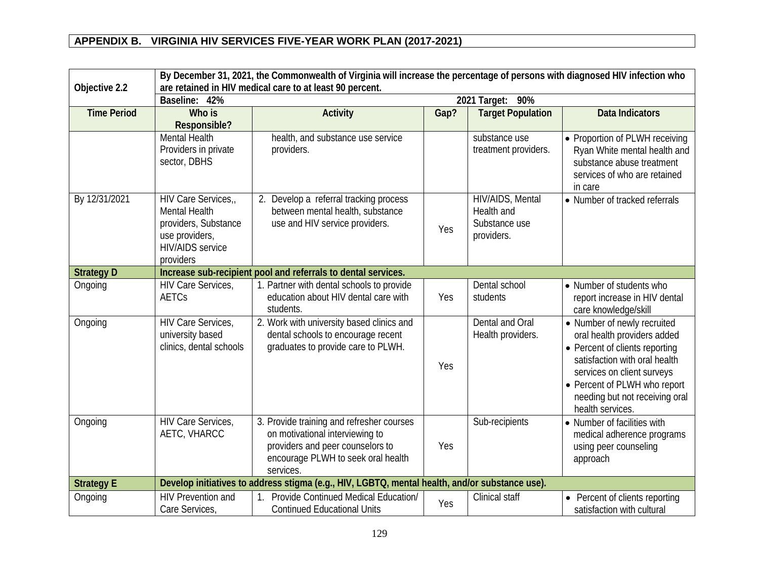|                    | By December 31, 2021, the Commonwealth of Virginia will increase the percentage of persons with diagnosed HIV infection who  |                                                                                                                                                                     |      |                                                               |                                                                                                                                                                                                                                                   |  |  |  |  |  |  |
|--------------------|------------------------------------------------------------------------------------------------------------------------------|---------------------------------------------------------------------------------------------------------------------------------------------------------------------|------|---------------------------------------------------------------|---------------------------------------------------------------------------------------------------------------------------------------------------------------------------------------------------------------------------------------------------|--|--|--|--|--|--|
| Objective 2.2      |                                                                                                                              | are retained in HIV medical care to at least 90 percent.                                                                                                            |      |                                                               |                                                                                                                                                                                                                                                   |  |  |  |  |  |  |
|                    | Baseline: 42%                                                                                                                |                                                                                                                                                                     |      | 2021 Target: 90%                                              |                                                                                                                                                                                                                                                   |  |  |  |  |  |  |
| <b>Time Period</b> | Who is                                                                                                                       | <b>Activity</b>                                                                                                                                                     | Gap? | <b>Target Population</b>                                      | <b>Data Indicators</b>                                                                                                                                                                                                                            |  |  |  |  |  |  |
|                    | Responsible?                                                                                                                 |                                                                                                                                                                     |      |                                                               |                                                                                                                                                                                                                                                   |  |  |  |  |  |  |
|                    | <b>Mental Health</b><br>Providers in private<br>sector, DBHS                                                                 | health, and substance use service<br>providers.                                                                                                                     |      | substance use<br>treatment providers.                         | • Proportion of PLWH receiving<br>Ryan White mental health and<br>substance abuse treatment<br>services of who are retained<br>in care                                                                                                            |  |  |  |  |  |  |
| By 12/31/2021      | HIV Care Services,<br><b>Mental Health</b><br>providers, Substance<br>use providers,<br><b>HIV/AIDS</b> service<br>providers | 2. Develop a referral tracking process<br>between mental health, substance<br>use and HIV service providers.                                                        | Yes  | HIV/AIDS, Mental<br>Health and<br>Substance use<br>providers. | • Number of tracked referrals                                                                                                                                                                                                                     |  |  |  |  |  |  |
| <b>Strategy D</b>  | Increase sub-recipient pool and referrals to dental services.                                                                |                                                                                                                                                                     |      |                                                               |                                                                                                                                                                                                                                                   |  |  |  |  |  |  |
| Ongoing            | HIV Care Services,<br>AETCs                                                                                                  | 1. Partner with dental schools to provide<br>education about HIV dental care with<br>students.                                                                      | Yes  | Dental school<br>students                                     | • Number of students who<br>report increase in HIV dental<br>care knowledge/skill                                                                                                                                                                 |  |  |  |  |  |  |
| Ongoing            | HIV Care Services,<br>university based<br>clinics, dental schools                                                            | 2. Work with university based clinics and<br>dental schools to encourage recent<br>graduates to provide care to PLWH.                                               | Yes  | Dental and Oral<br>Health providers.                          | • Number of newly recruited<br>oral health providers added<br>• Percent of clients reporting<br>satisfaction with oral health<br>services on client surveys<br>• Percent of PLWH who report<br>needing but not receiving oral<br>health services. |  |  |  |  |  |  |
| Ongoing            | HIV Care Services,<br>AETC, VHARCC                                                                                           | 3. Provide training and refresher courses<br>on motivational interviewing to<br>providers and peer counselors to<br>encourage PLWH to seek oral health<br>services. | Yes  | Sub-recipients                                                | • Number of facilities with<br>medical adherence programs<br>using peer counseling<br>approach                                                                                                                                                    |  |  |  |  |  |  |
| <b>Strategy E</b>  |                                                                                                                              | Develop initiatives to address stigma (e.g., HIV, LGBTQ, mental health, and/or substance use).                                                                      |      |                                                               |                                                                                                                                                                                                                                                   |  |  |  |  |  |  |
| Ongoing            | <b>HIV Prevention and</b><br>Care Services,                                                                                  | Provide Continued Medical Education/<br><b>Continued Educational Units</b>                                                                                          | Yes  | Clinical staff                                                | Percent of clients reporting<br>satisfaction with cultural                                                                                                                                                                                        |  |  |  |  |  |  |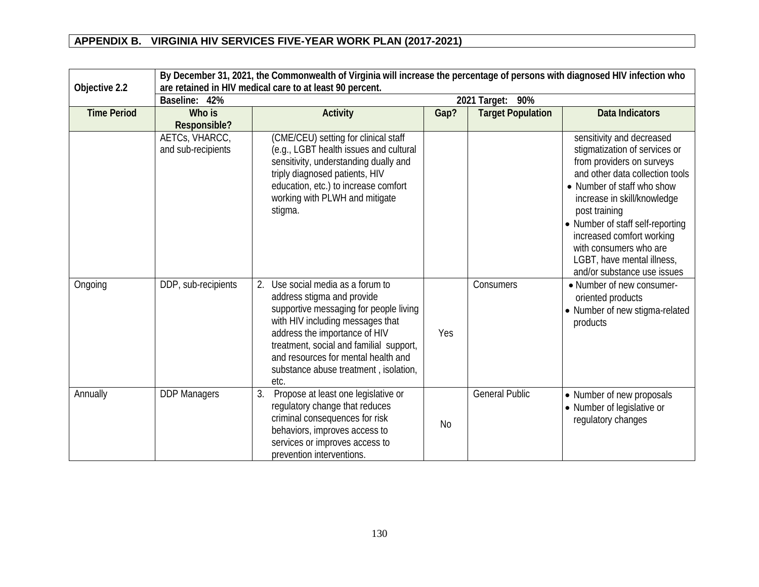|                    | By December 31, 2021, the Commonwealth of Virginia will increase the percentage of persons with diagnosed HIV infection who<br>are retained in HIV medical care to at least 90 percent. |                                                                                                                                                                                                                                                                                                                      |           |                          |                                                                                                                                                                                                                                                                                                                                                                  |  |  |  |  |  |  |
|--------------------|-----------------------------------------------------------------------------------------------------------------------------------------------------------------------------------------|----------------------------------------------------------------------------------------------------------------------------------------------------------------------------------------------------------------------------------------------------------------------------------------------------------------------|-----------|--------------------------|------------------------------------------------------------------------------------------------------------------------------------------------------------------------------------------------------------------------------------------------------------------------------------------------------------------------------------------------------------------|--|--|--|--|--|--|
| Objective 2.2      | 42%<br>Baseline:                                                                                                                                                                        |                                                                                                                                                                                                                                                                                                                      |           | 2021 Target: 90%         |                                                                                                                                                                                                                                                                                                                                                                  |  |  |  |  |  |  |
| <b>Time Period</b> | Who is<br>Responsible?                                                                                                                                                                  | <b>Activity</b>                                                                                                                                                                                                                                                                                                      | Gap?      | <b>Target Population</b> | <b>Data Indicators</b>                                                                                                                                                                                                                                                                                                                                           |  |  |  |  |  |  |
|                    | AETCs, VHARCC,<br>and sub-recipients                                                                                                                                                    | (CME/CEU) setting for clinical staff<br>(e.g., LGBT health issues and cultural<br>sensitivity, understanding dually and<br>triply diagnosed patients, HIV<br>education, etc.) to increase comfort<br>working with PLWH and mitigate<br>stigma.                                                                       |           |                          | sensitivity and decreased<br>stigmatization of services or<br>from providers on surveys<br>and other data collection tools<br>• Number of staff who show<br>increase in skill/knowledge<br>post training<br>• Number of staff self-reporting<br>increased comfort working<br>with consumers who are<br>LGBT, have mental illness,<br>and/or substance use issues |  |  |  |  |  |  |
| Ongoing            | DDP, sub-recipients                                                                                                                                                                     | Use social media as a forum to<br>2.<br>address stigma and provide<br>supportive messaging for people living<br>with HIV including messages that<br>address the importance of HIV<br>treatment, social and familial support,<br>and resources for mental health and<br>substance abuse treatment, isolation,<br>etc. | Yes       | Consumers                | • Number of new consumer-<br>oriented products<br>• Number of new stigma-related<br>products                                                                                                                                                                                                                                                                     |  |  |  |  |  |  |
| Annually           | <b>DDP Managers</b>                                                                                                                                                                     | Propose at least one legislative or<br>3.<br>regulatory change that reduces<br>criminal consequences for risk<br>behaviors, improves access to<br>services or improves access to<br>prevention interventions.                                                                                                        | <b>No</b> | <b>General Public</b>    | • Number of new proposals<br>• Number of legislative or<br>regulatory changes                                                                                                                                                                                                                                                                                    |  |  |  |  |  |  |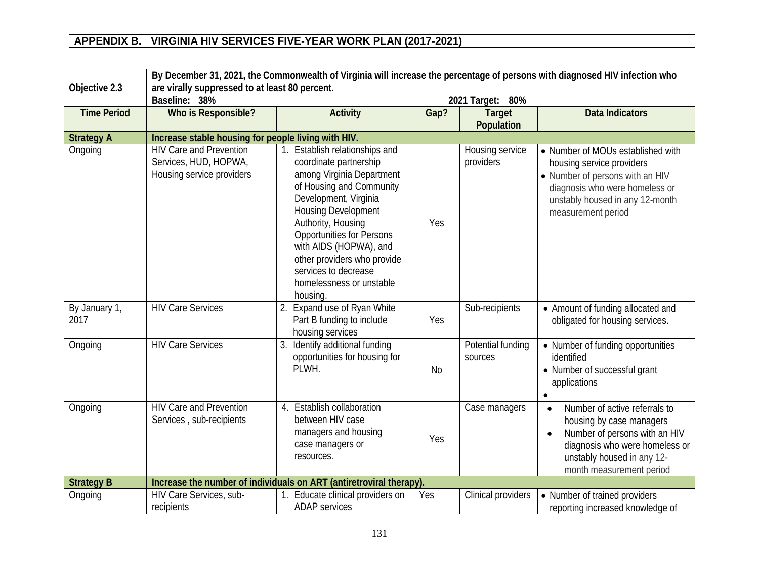|                       | By December 31, 2021, the Commonwealth of Virginia will increase the percentage of persons with diagnosed HIV infection who |                                                                                                                                                                                                                                                                                                                                                                            |      |                              |                                                                                                                                                                                                                  |  |  |  |  |  |  |
|-----------------------|-----------------------------------------------------------------------------------------------------------------------------|----------------------------------------------------------------------------------------------------------------------------------------------------------------------------------------------------------------------------------------------------------------------------------------------------------------------------------------------------------------------------|------|------------------------------|------------------------------------------------------------------------------------------------------------------------------------------------------------------------------------------------------------------|--|--|--|--|--|--|
| Objective 2.3         | are virally suppressed to at least 80 percent.                                                                              |                                                                                                                                                                                                                                                                                                                                                                            |      |                              |                                                                                                                                                                                                                  |  |  |  |  |  |  |
|                       | Baseline: 38%                                                                                                               |                                                                                                                                                                                                                                                                                                                                                                            |      | 2021 Target: 80%             |                                                                                                                                                                                                                  |  |  |  |  |  |  |
| <b>Time Period</b>    | Who is Responsible?                                                                                                         | <b>Activity</b>                                                                                                                                                                                                                                                                                                                                                            | Gap? | <b>Target</b><br>Population  | <b>Data Indicators</b>                                                                                                                                                                                           |  |  |  |  |  |  |
| <b>Strategy A</b>     | Increase stable housing for people living with HIV.                                                                         |                                                                                                                                                                                                                                                                                                                                                                            |      |                              |                                                                                                                                                                                                                  |  |  |  |  |  |  |
| Ongoing               | <b>HIV Care and Prevention</b><br>Services, HUD, HOPWA,<br>Housing service providers                                        | Establish relationships and<br>1 <sub>1</sub><br>coordinate partnership<br>among Virginia Department<br>of Housing and Community<br>Development, Virginia<br><b>Housing Development</b><br>Authority, Housing<br><b>Opportunities for Persons</b><br>with AIDS (HOPWA), and<br>other providers who provide<br>services to decrease<br>homelessness or unstable<br>housing. | Yes  | Housing service<br>providers | • Number of MOUs established with<br>housing service providers<br>• Number of persons with an HIV<br>diagnosis who were homeless or<br>unstably housed in any 12-month<br>measurement period                     |  |  |  |  |  |  |
| By January 1,<br>2017 | <b>HIV Care Services</b>                                                                                                    | 2. Expand use of Ryan White<br>Part B funding to include<br>housing services                                                                                                                                                                                                                                                                                               | Yes  | Sub-recipients               | • Amount of funding allocated and<br>obligated for housing services.                                                                                                                                             |  |  |  |  |  |  |
| Ongoing               | <b>HIV Care Services</b>                                                                                                    | Identify additional funding<br>3.<br>opportunities for housing for<br>PLWH.                                                                                                                                                                                                                                                                                                | No   | Potential funding<br>sources | • Number of funding opportunities<br>identified<br>• Number of successful grant<br>applications                                                                                                                  |  |  |  |  |  |  |
| Ongoing               | <b>HIV Care and Prevention</b><br>Services, sub-recipients                                                                  | 4. Establish collaboration<br>between HIV case<br>managers and housing<br>case managers or<br>resources.                                                                                                                                                                                                                                                                   | Yes  | Case managers                | Number of active referrals to<br>$\bullet$<br>housing by case managers<br>Number of persons with an HIV<br>$\bullet$<br>diagnosis who were homeless or<br>unstably housed in any 12-<br>month measurement period |  |  |  |  |  |  |
| <b>Strategy B</b>     |                                                                                                                             | Increase the number of individuals on ART (antiretroviral therapy).                                                                                                                                                                                                                                                                                                        |      |                              |                                                                                                                                                                                                                  |  |  |  |  |  |  |
| Ongoing               | HIV Care Services, sub-<br>recipients                                                                                       | Educate clinical providers on<br>1.<br><b>ADAP</b> services                                                                                                                                                                                                                                                                                                                | Yes  | Clinical providers           | • Number of trained providers<br>reporting increased knowledge of                                                                                                                                                |  |  |  |  |  |  |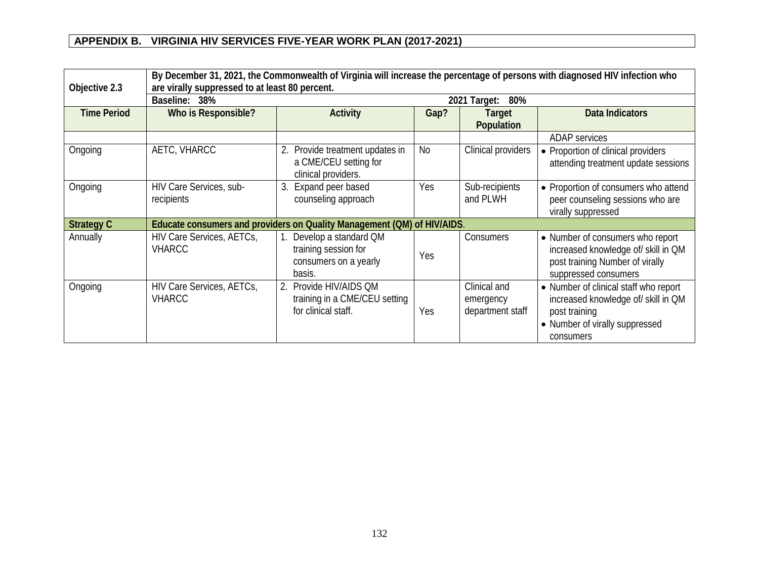| Objective 2.3      |                                            | By December 31, 2021, the Commonwealth of Virginia will increase the percentage of persons with diagnosed HIV infection who<br>are virally suppressed to at least 80 percent. |      |                                               |                                                                                                                                              |  |  |  |  |  |
|--------------------|--------------------------------------------|-------------------------------------------------------------------------------------------------------------------------------------------------------------------------------|------|-----------------------------------------------|----------------------------------------------------------------------------------------------------------------------------------------------|--|--|--|--|--|
|                    | Baseline: 38%                              |                                                                                                                                                                               |      | 2021 Target:<br>80%                           |                                                                                                                                              |  |  |  |  |  |
| <b>Time Period</b> | Who is Responsible?                        | <b>Activity</b>                                                                                                                                                               | Gap? | Target<br>Population                          | <b>Data Indicators</b>                                                                                                                       |  |  |  |  |  |
|                    |                                            |                                                                                                                                                                               |      |                                               | <b>ADAP</b> services                                                                                                                         |  |  |  |  |  |
| Ongoing            | AETC, VHARCC                               | Provide treatment updates in<br>a CME/CEU setting for<br>clinical providers.                                                                                                  | No   | Clinical providers                            | • Proportion of clinical providers<br>attending treatment update sessions                                                                    |  |  |  |  |  |
| Ongoing            | HIV Care Services, sub-<br>recipients      | Expand peer based<br>3.<br>counseling approach                                                                                                                                | Yes  | Sub-recipients<br>and PLWH                    | • Proportion of consumers who attend<br>peer counseling sessions who are<br>virally suppressed                                               |  |  |  |  |  |
| <b>Strategy C</b>  |                                            | Educate consumers and providers on Quality Management (QM) of HIV/AIDS.                                                                                                       |      |                                               |                                                                                                                                              |  |  |  |  |  |
| Annually           | HIV Care Services, AETCs,<br><b>VHARCC</b> | Develop a standard QM<br>training session for<br>consumers on a yearly<br>basis.                                                                                              | Yes  | Consumers                                     | • Number of consumers who report<br>increased knowledge of/ skill in QM<br>post training Number of virally<br>suppressed consumers           |  |  |  |  |  |
| Ongoing            | HIV Care Services, AETCs,<br><b>VHARCC</b> | Provide HIV/AIDS QM<br>$2_{1}$<br>training in a CME/CEU setting<br>for clinical staff.                                                                                        | Yes  | Clinical and<br>emergency<br>department staff | • Number of clinical staff who report<br>increased knowledge of/ skill in QM<br>post training<br>• Number of virally suppressed<br>consumers |  |  |  |  |  |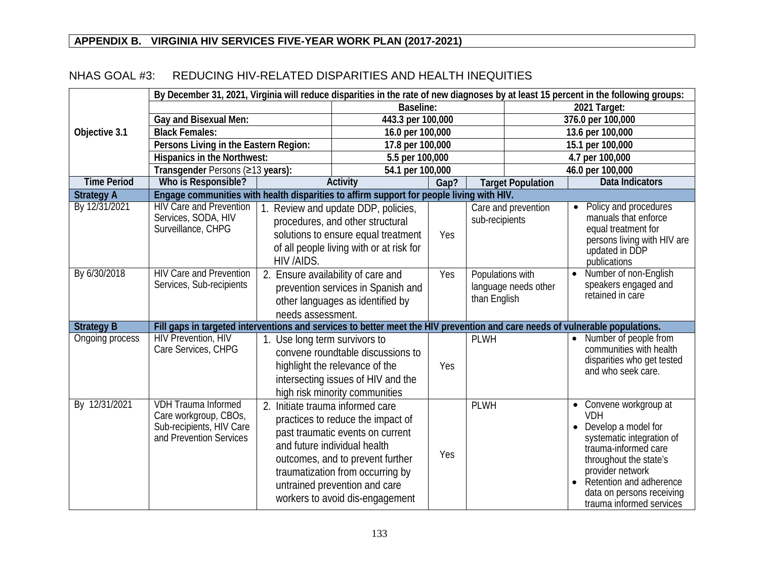|                    | By December 31, 2021, Virginia will reduce disparities in the rate of new diagnoses by at least 15 percent in the following groups: |                                                                                                                                   |                                                                                                                                                                                                                                                   |                                                                       |                |                          |                                                                   |                                                                                                                                                                                                                                                  |  |  |
|--------------------|-------------------------------------------------------------------------------------------------------------------------------------|-----------------------------------------------------------------------------------------------------------------------------------|---------------------------------------------------------------------------------------------------------------------------------------------------------------------------------------------------------------------------------------------------|-----------------------------------------------------------------------|----------------|--------------------------|-------------------------------------------------------------------|--------------------------------------------------------------------------------------------------------------------------------------------------------------------------------------------------------------------------------------------------|--|--|
|                    |                                                                                                                                     |                                                                                                                                   |                                                                                                                                                                                                                                                   | <b>Baseline:</b>                                                      |                |                          | 2021 Target:                                                      |                                                                                                                                                                                                                                                  |  |  |
|                    | Gay and Bisexual Men:                                                                                                               |                                                                                                                                   | 443.3 per 100,000                                                                                                                                                                                                                                 |                                                                       |                |                          | 376.0 per 100,000                                                 |                                                                                                                                                                                                                                                  |  |  |
| Objective 3.1      | <b>Black Females:</b>                                                                                                               |                                                                                                                                   | 16.0 per 100,000                                                                                                                                                                                                                                  |                                                                       |                |                          |                                                                   | 13.6 per 100,000                                                                                                                                                                                                                                 |  |  |
|                    | Persons Living in the Eastern Region:                                                                                               |                                                                                                                                   | 17.8 per 100,000                                                                                                                                                                                                                                  |                                                                       |                |                          |                                                                   | 15.1 per 100,000                                                                                                                                                                                                                                 |  |  |
|                    | <b>Hispanics in the Northwest:</b>                                                                                                  |                                                                                                                                   | 5.5 per 100,000                                                                                                                                                                                                                                   |                                                                       |                |                          |                                                                   | 4.7 per 100,000                                                                                                                                                                                                                                  |  |  |
|                    | Transgender Persons (≥13 years):                                                                                                    |                                                                                                                                   | 54.1 per 100,000                                                                                                                                                                                                                                  |                                                                       |                |                          | 46.0 per 100,000                                                  |                                                                                                                                                                                                                                                  |  |  |
| <b>Time Period</b> | Who is Responsible?                                                                                                                 |                                                                                                                                   | <b>Activity</b>                                                                                                                                                                                                                                   | Gap?                                                                  |                | <b>Target Population</b> |                                                                   | <b>Data Indicators</b>                                                                                                                                                                                                                           |  |  |
| <b>Strategy A</b>  | Engage communities with health disparities to affirm support for people living with HIV.                                            |                                                                                                                                   |                                                                                                                                                                                                                                                   |                                                                       |                |                          |                                                                   |                                                                                                                                                                                                                                                  |  |  |
| By 12/31/2021      | <b>HIV Care and Prevention</b><br>Services, SODA, HIV<br>Surveillance, CHPG                                                         | HIV /AIDS.                                                                                                                        | Review and update DDP, policies,<br>procedures, and other structural<br>solutions to ensure equal treatment<br>of all people living with or at risk for                                                                                           | Yes                                                                   | sub-recipients | Care and prevention      |                                                                   | Policy and procedures<br>manuals that enforce<br>equal treatment for<br>persons living with HIV are<br>updated in DDP<br>publications                                                                                                            |  |  |
| By 6/30/2018       | <b>HIV Care and Prevention</b><br>Services, Sub-recipients                                                                          | 2. Ensure availability of care and<br>prevention services in Spanish and<br>other languages as identified by<br>needs assessment. | Yes                                                                                                                                                                                                                                               | Populations with<br>$\bullet$<br>language needs other<br>than English |                |                          | Number of non-English<br>speakers engaged and<br>retained in care |                                                                                                                                                                                                                                                  |  |  |
| <b>Strategy B</b>  | Fill gaps in targeted interventions and services to better meet the HIV prevention and care needs of vulnerable populations.        |                                                                                                                                   |                                                                                                                                                                                                                                                   |                                                                       |                |                          |                                                                   |                                                                                                                                                                                                                                                  |  |  |
| Ongoing process    | <b>HIV Prevention, HIV</b><br>Care Services, CHPG                                                                                   | 1. Use long term survivors to                                                                                                     | convene roundtable discussions to<br>highlight the relevance of the<br>intersecting issues of HIV and the<br>high risk minority communities                                                                                                       | Yes                                                                   | <b>PLWH</b>    |                          | $\bullet$                                                         | Number of people from<br>communities with health<br>disparities who get tested<br>and who seek care.                                                                                                                                             |  |  |
| By 12/31/2021      | <b>VDH Trauma Informed</b><br>Care workgroup, CBOs,<br>Sub-recipients, HIV Care<br>and Prevention Services                          | 2. Initiate trauma informed care                                                                                                  | practices to reduce the impact of<br>past traumatic events on current<br>and future individual health<br>outcomes, and to prevent further<br>traumatization from occurring by<br>untrained prevention and care<br>workers to avoid dis-engagement | Yes                                                                   | <b>PLWH</b>    |                          | $\bullet$<br>$\bullet$<br>$\bullet$                               | Convene workgroup at<br><b>VDH</b><br>Develop a model for<br>systematic integration of<br>trauma-informed care<br>throughout the state's<br>provider network<br>Retention and adherence<br>data on persons receiving<br>trauma informed services |  |  |

#### NHAS GOAL #3: REDUCING HIV-RELATED DISPARITIES AND HEALTH INEQUITIES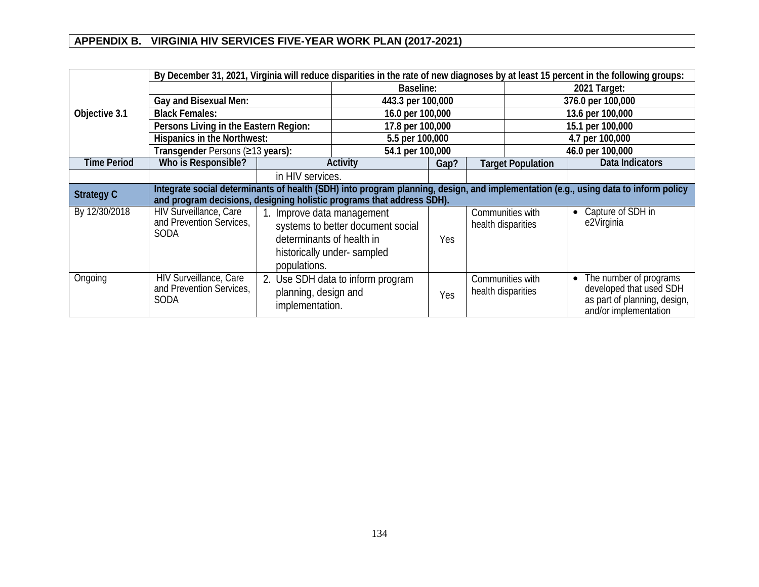|                    | By December 31, 2021, Virginia will reduce disparities in the rate of new diagnoses by at least 15 percent in the following groups:                                                                         |                                                                                                                                            |                                   |                    |                          |                  |                                 |                                                                                                            |
|--------------------|-------------------------------------------------------------------------------------------------------------------------------------------------------------------------------------------------------------|--------------------------------------------------------------------------------------------------------------------------------------------|-----------------------------------|--------------------|--------------------------|------------------|---------------------------------|------------------------------------------------------------------------------------------------------------|
|                    |                                                                                                                                                                                                             |                                                                                                                                            | Baseline:                         |                    |                          | 2021 Target:     |                                 |                                                                                                            |
|                    | Gay and Bisexual Men:                                                                                                                                                                                       |                                                                                                                                            |                                   |                    |                          |                  |                                 | 376.0 per 100,000                                                                                          |
| Objective 3.1      | <b>Black Females:</b>                                                                                                                                                                                       |                                                                                                                                            | 16.0 per 100,000                  |                    |                          | 13.6 per 100,000 |                                 |                                                                                                            |
|                    | Persons Living in the Eastern Region:                                                                                                                                                                       | 17.8 per 100,000                                                                                                                           |                                   |                    |                          |                  | 15.1 per 100,000                |                                                                                                            |
|                    | Hispanics in the Northwest:                                                                                                                                                                                 |                                                                                                                                            |                                   | 5.5 per 100,000    |                          |                  |                                 | 4.7 per 100,000                                                                                            |
|                    | Transgender Persons (≥13 years):                                                                                                                                                                            |                                                                                                                                            | 54.1 per 100,000                  |                    |                          |                  |                                 | 46.0 per 100,000                                                                                           |
| <b>Time Period</b> | Who is Responsible?                                                                                                                                                                                         | Activity                                                                                                                                   | Gap?                              |                    | <b>Target Population</b> |                  | Data Indicators                 |                                                                                                            |
|                    |                                                                                                                                                                                                             | in HIV services.                                                                                                                           |                                   |                    |                          |                  |                                 |                                                                                                            |
| <b>Strategy C</b>  | Integrate social determinants of health (SDH) into program planning, design, and implementation (e.g., using data to inform policy<br>and program decisions, designing holistic programs that address SDH). |                                                                                                                                            |                                   |                    |                          |                  |                                 |                                                                                                            |
| By 12/30/2018      | HIV Surveillance, Care<br>and Prevention Services,<br><b>SODA</b>                                                                                                                                           | 1. Improve data management<br>systems to better document social<br>determinants of health in<br>historically under-sampled<br>populations. | Yes                               | health disparities | Communities with         | $\bullet$        | Capture of SDH in<br>e2Virginia |                                                                                                            |
| Ongoing            | HIV Surveillance, Care<br>and Prevention Services,<br><b>SODA</b>                                                                                                                                           | planning, design and<br>implementation.                                                                                                    | 2. Use SDH data to inform program | Yes                | health disparities       | Communities with | $\bullet$                       | The number of programs<br>developed that used SDH<br>as part of planning, design,<br>and/or implementation |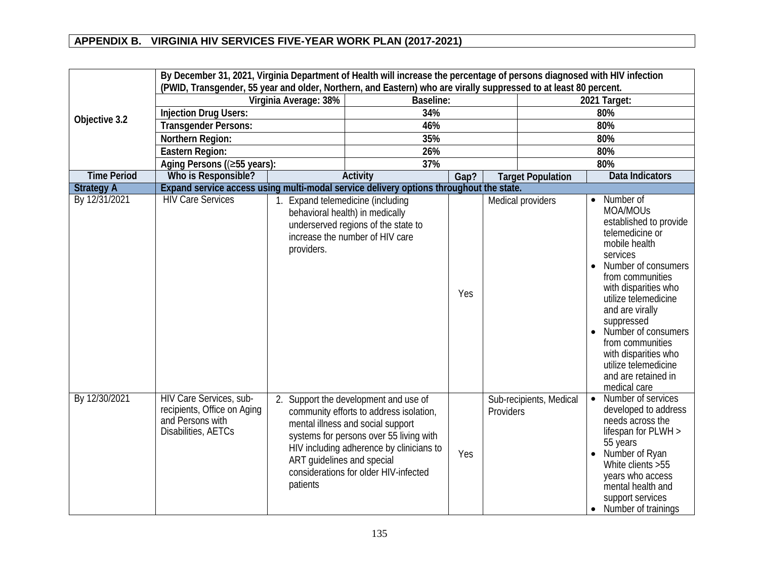|                    | By December 31, 2021, Virginia Department of Health will increase the percentage of persons diagnosed with HIV infection<br>(PWID, Transgender, 55 year and older, Northern, and Eastern) who are virally suppressed to at least 80 percent. |                                        |                                                                                                                                                                                                                                                       |      |           |                          |                                                                                                                                                                                                                                                                                                                                                                            |  |  |
|--------------------|----------------------------------------------------------------------------------------------------------------------------------------------------------------------------------------------------------------------------------------------|----------------------------------------|-------------------------------------------------------------------------------------------------------------------------------------------------------------------------------------------------------------------------------------------------------|------|-----------|--------------------------|----------------------------------------------------------------------------------------------------------------------------------------------------------------------------------------------------------------------------------------------------------------------------------------------------------------------------------------------------------------------------|--|--|
|                    |                                                                                                                                                                                                                                              | Virginia Average: 38%                  | <b>Baseline:</b>                                                                                                                                                                                                                                      |      |           |                          | 2021 Target:                                                                                                                                                                                                                                                                                                                                                               |  |  |
|                    | <b>Injection Drug Users:</b>                                                                                                                                                                                                                 |                                        | 34%                                                                                                                                                                                                                                                   |      |           |                          | 80%                                                                                                                                                                                                                                                                                                                                                                        |  |  |
| Objective 3.2      | <b>Transgender Persons:</b>                                                                                                                                                                                                                  |                                        | 46%                                                                                                                                                                                                                                                   |      |           |                          | 80%                                                                                                                                                                                                                                                                                                                                                                        |  |  |
|                    | Northern Region:                                                                                                                                                                                                                             | 35%                                    |                                                                                                                                                                                                                                                       |      |           | 80%                      |                                                                                                                                                                                                                                                                                                                                                                            |  |  |
|                    | Eastern Region:                                                                                                                                                                                                                              |                                        | 26%                                                                                                                                                                                                                                                   |      |           |                          | 80%                                                                                                                                                                                                                                                                                                                                                                        |  |  |
|                    | Aging Persons ((≥55 years):                                                                                                                                                                                                                  |                                        | 37%                                                                                                                                                                                                                                                   |      |           |                          | 80%                                                                                                                                                                                                                                                                                                                                                                        |  |  |
| <b>Time Period</b> | Who is Responsible?                                                                                                                                                                                                                          |                                        | <b>Activity</b>                                                                                                                                                                                                                                       | Gap? |           | <b>Target Population</b> | <b>Data Indicators</b>                                                                                                                                                                                                                                                                                                                                                     |  |  |
| <b>Strategy A</b>  | Expand service access using multi-modal service delivery options throughout the state.                                                                                                                                                       |                                        |                                                                                                                                                                                                                                                       |      |           |                          |                                                                                                                                                                                                                                                                                                                                                                            |  |  |
| By 12/31/2021      | <b>HIV Care Services</b>                                                                                                                                                                                                                     | providers.                             | Expand telemedicine (including<br>behavioral health) in medically<br>underserved regions of the state to<br>increase the number of HIV care                                                                                                           | Yes  |           | Medical providers        | Number of<br>$\bullet$<br>MOA/MOUs<br>established to provide<br>telemedicine or<br>mobile health<br>services<br>Number of consumers<br>from communities<br>with disparities who<br>utilize telemedicine<br>and are virally<br>suppressed<br>Number of consumers<br>from communities<br>with disparities who<br>utilize telemedicine<br>and are retained in<br>medical care |  |  |
| By 12/30/2021      | HIV Care Services, sub-<br>recipients, Office on Aging<br>and Persons with<br>Disabilities, AETCs                                                                                                                                            | ART guidelines and special<br>patients | 2. Support the development and use of<br>community efforts to address isolation,<br>mental illness and social support<br>systems for persons over 55 living with<br>HIV including adherence by clinicians to<br>considerations for older HIV-infected | Yes  | Providers | Sub-recipients, Medical  | Number of services<br>$\bullet$<br>developed to address<br>needs across the<br>lifespan for PLWH ><br>55 years<br>Number of Ryan<br>White clients > 55<br>years who access<br>mental health and<br>support services<br>Number of trainings<br>$\bullet$                                                                                                                    |  |  |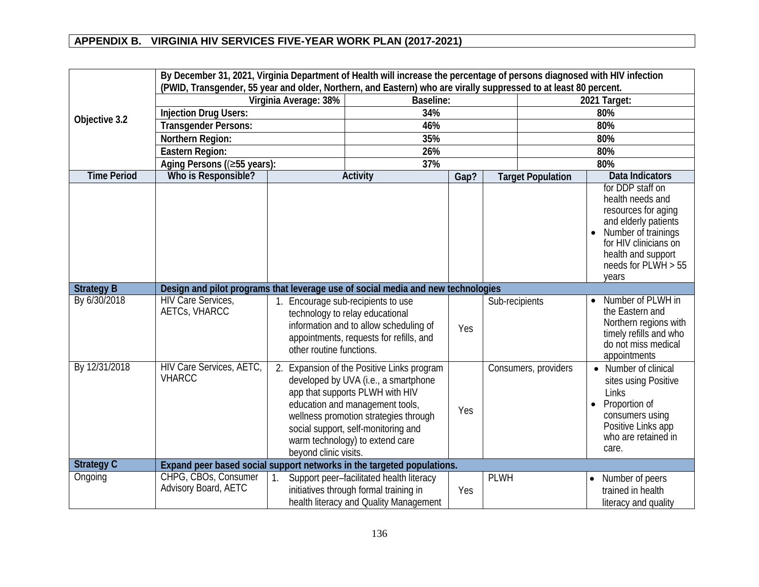|                    |                                                                                  |                                                                                                                                                                                                                                                                                                      |                                                                                                                              | By December 31, 2021, Virginia Department of Health will increase the percentage of persons diagnosed with HIV infection<br>(PWID, Transgender, 55 year and older, Northern, and Eastern) who are virally suppressed to at least 80 percent. |                      |                          |                                                                                                                                                                                             |  |  |  |  |  |
|--------------------|----------------------------------------------------------------------------------|------------------------------------------------------------------------------------------------------------------------------------------------------------------------------------------------------------------------------------------------------------------------------------------------------|------------------------------------------------------------------------------------------------------------------------------|----------------------------------------------------------------------------------------------------------------------------------------------------------------------------------------------------------------------------------------------|----------------------|--------------------------|---------------------------------------------------------------------------------------------------------------------------------------------------------------------------------------------|--|--|--|--|--|
|                    |                                                                                  | Virginia Average: 38%                                                                                                                                                                                                                                                                                | <b>Baseline:</b>                                                                                                             |                                                                                                                                                                                                                                              |                      |                          | 2021 Target:                                                                                                                                                                                |  |  |  |  |  |
|                    | <b>Injection Drug Users:</b>                                                     |                                                                                                                                                                                                                                                                                                      | 34%                                                                                                                          |                                                                                                                                                                                                                                              |                      |                          | 80%                                                                                                                                                                                         |  |  |  |  |  |
| Objective 3.2      | <b>Transgender Persons:</b>                                                      |                                                                                                                                                                                                                                                                                                      | 46%                                                                                                                          |                                                                                                                                                                                                                                              |                      |                          | 80%                                                                                                                                                                                         |  |  |  |  |  |
|                    | Northern Region:                                                                 | 35%                                                                                                                                                                                                                                                                                                  |                                                                                                                              |                                                                                                                                                                                                                                              |                      | 80%                      |                                                                                                                                                                                             |  |  |  |  |  |
|                    | Eastern Region:                                                                  | 26%                                                                                                                                                                                                                                                                                                  |                                                                                                                              |                                                                                                                                                                                                                                              |                      | 80%                      |                                                                                                                                                                                             |  |  |  |  |  |
|                    | Aging Persons ((≥55 years):                                                      |                                                                                                                                                                                                                                                                                                      | 37%                                                                                                                          |                                                                                                                                                                                                                                              |                      |                          | 80%                                                                                                                                                                                         |  |  |  |  |  |
| <b>Time Period</b> | Who is Responsible?                                                              |                                                                                                                                                                                                                                                                                                      | <b>Activity</b>                                                                                                              | Gap?                                                                                                                                                                                                                                         |                      | <b>Target Population</b> | <b>Data Indicators</b>                                                                                                                                                                      |  |  |  |  |  |
|                    |                                                                                  |                                                                                                                                                                                                                                                                                                      |                                                                                                                              |                                                                                                                                                                                                                                              |                      |                          | for DDP staff on<br>health needs and<br>resources for aging<br>and elderly patients<br>Number of trainings<br>for HIV clinicians on<br>health and support<br>needs for $PLWH > 55$<br>years |  |  |  |  |  |
| <b>Strategy B</b>  | Design and pilot programs that leverage use of social media and new technologies |                                                                                                                                                                                                                                                                                                      |                                                                                                                              |                                                                                                                                                                                                                                              |                      |                          |                                                                                                                                                                                             |  |  |  |  |  |
| By 6/30/2018       | <b>HIV Care Services,</b><br>AETCs, VHARCC                                       | 1. Encourage sub-recipients to use<br>technology to relay educational<br>information and to allow scheduling of<br>appointments, requests for refills, and<br>other routine functions.                                                                                                               |                                                                                                                              |                                                                                                                                                                                                                                              | Sub-recipients       |                          | Number of PLWH in<br>the Eastern and<br>Northern regions with<br>timely refills and who<br>do not miss medical<br>appointments                                                              |  |  |  |  |  |
| By 12/31/2018      | HIV Care Services, AETC,<br><b>VHARCC</b>                                        | 2. Expansion of the Positive Links program<br>developed by UVA (i.e., a smartphone<br>app that supports PLWH with HIV<br>education and management tools,<br>wellness promotion strategies through<br>social support, self-monitoring and<br>warm technology) to extend care<br>beyond clinic visits. |                                                                                                                              |                                                                                                                                                                                                                                              | Consumers, providers |                          | • Number of clinical<br>sites using Positive<br>Links<br>Proportion of<br>$\bullet$<br>consumers using<br>Positive Links app<br>who are retained in<br>care.                                |  |  |  |  |  |
| <b>Strategy C</b>  | Expand peer based social support networks in the targeted populations.           |                                                                                                                                                                                                                                                                                                      |                                                                                                                              |                                                                                                                                                                                                                                              |                      |                          |                                                                                                                                                                                             |  |  |  |  |  |
| Ongoing            | CHPG, CBOs, Consumer<br>Advisory Board, AETC                                     |                                                                                                                                                                                                                                                                                                      | Support peer-facilitated health literacy<br>initiatives through formal training in<br>health literacy and Quality Management | Yes                                                                                                                                                                                                                                          | <b>PLWH</b>          |                          | Number of peers<br>$\bullet$<br>trained in health<br>literacy and quality                                                                                                                   |  |  |  |  |  |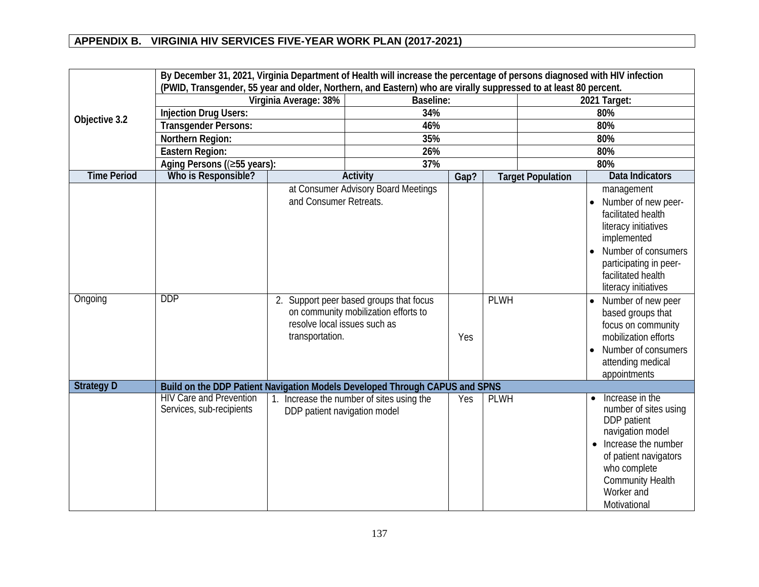|                    |                                                                             | By December 31, 2021, Virginia Department of Health will increase the percentage of persons diagnosed with HIV infection<br>(PWID, Transgender, 55 year and older, Northern, and Eastern) who are virally suppressed to at least 80 percent. |                                                                                         |      |             |                          |                                                                                                                                                                                                                                          |  |  |  |
|--------------------|-----------------------------------------------------------------------------|----------------------------------------------------------------------------------------------------------------------------------------------------------------------------------------------------------------------------------------------|-----------------------------------------------------------------------------------------|------|-------------|--------------------------|------------------------------------------------------------------------------------------------------------------------------------------------------------------------------------------------------------------------------------------|--|--|--|
|                    |                                                                             | Virginia Average: 38%                                                                                                                                                                                                                        | <b>Baseline:</b>                                                                        |      |             |                          | 2021 Target:                                                                                                                                                                                                                             |  |  |  |
|                    | <b>Injection Drug Users:</b>                                                |                                                                                                                                                                                                                                              | 34%                                                                                     |      |             |                          | 80%                                                                                                                                                                                                                                      |  |  |  |
| Objective 3.2      | <b>Transgender Persons:</b>                                                 |                                                                                                                                                                                                                                              | 46%                                                                                     |      |             |                          | 80%                                                                                                                                                                                                                                      |  |  |  |
|                    | Northern Region:                                                            | 35%                                                                                                                                                                                                                                          |                                                                                         |      |             | 80%                      |                                                                                                                                                                                                                                          |  |  |  |
|                    | Eastern Region:                                                             |                                                                                                                                                                                                                                              | 26%                                                                                     |      |             |                          | 80%                                                                                                                                                                                                                                      |  |  |  |
|                    | Aging Persons ((≥55 years):                                                 | 37%                                                                                                                                                                                                                                          |                                                                                         |      |             | 80%                      |                                                                                                                                                                                                                                          |  |  |  |
| <b>Time Period</b> | Who is Responsible?                                                         |                                                                                                                                                                                                                                              | <b>Activity</b>                                                                         | Gap? |             | <b>Target Population</b> | <b>Data Indicators</b>                                                                                                                                                                                                                   |  |  |  |
| Ongoing            | <b>DDP</b>                                                                  | and Consumer Retreats.                                                                                                                                                                                                                       | at Consumer Advisory Board Meetings<br>2. Support peer based groups that focus          |      | <b>PLWH</b> |                          | management<br>Number of new peer-<br>facilitated health<br>literacy initiatives<br>implemented<br>Number of consumers<br>participating in peer-<br>facilitated health<br>literacy initiatives<br>Number of new peer<br>based groups that |  |  |  |
|                    |                                                                             |                                                                                                                                                                                                                                              | on community mobilization efforts to<br>resolve local issues such as<br>transportation. |      |             |                          | focus on community<br>mobilization efforts<br>Number of consumers<br>$\bullet$<br>attending medical<br>appointments                                                                                                                      |  |  |  |
| <b>Strategy D</b>  | Build on the DDP Patient Navigation Models Developed Through CAPUS and SPNS |                                                                                                                                                                                                                                              |                                                                                         |      |             |                          |                                                                                                                                                                                                                                          |  |  |  |
|                    | <b>HIV Care and Prevention</b><br>Services, sub-recipients                  | DDP patient navigation model                                                                                                                                                                                                                 | 1. Increase the number of sites using the                                               | Yes  | <b>PLWH</b> |                          | Increase in the<br>number of sites using<br>DDP patient<br>navigation model<br>Increase the number<br>$\bullet$<br>of patient navigators<br>who complete<br><b>Community Health</b><br>Worker and<br>Motivational                        |  |  |  |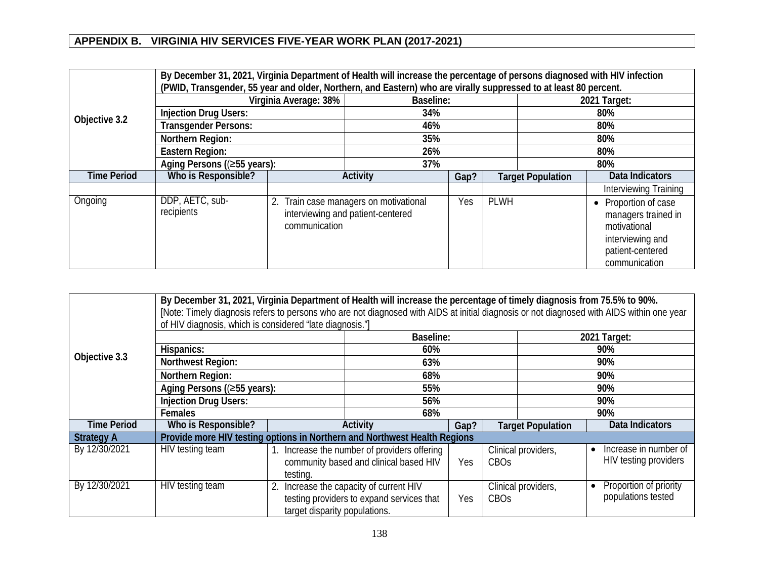|                    |                               | By December 31, 2021, Virginia Department of Health will increase the percentage of persons diagnosed with HIV infection<br>(PWID, Transgender, 55 year and older, Northern, and Eastern) who are virally suppressed to at least 80 percent. |                                                                             |      |                          |     |                                                                                                                                 |  |  |
|--------------------|-------------------------------|----------------------------------------------------------------------------------------------------------------------------------------------------------------------------------------------------------------------------------------------|-----------------------------------------------------------------------------|------|--------------------------|-----|---------------------------------------------------------------------------------------------------------------------------------|--|--|
|                    | Virginia Average: 38%         | Baseline:                                                                                                                                                                                                                                    |                                                                             |      | 2021 Target:             |     |                                                                                                                                 |  |  |
|                    | <b>Injection Drug Users:</b>  | 34%                                                                                                                                                                                                                                          |                                                                             |      |                          | 80% |                                                                                                                                 |  |  |
| Objective 3.2      | <b>Transgender Persons:</b>   | 46%                                                                                                                                                                                                                                          |                                                                             |      |                          | 80% |                                                                                                                                 |  |  |
|                    | Northern Region:              |                                                                                                                                                                                                                                              | 35%                                                                         |      |                          |     | 80%                                                                                                                             |  |  |
|                    | Eastern Region:               |                                                                                                                                                                                                                                              | 26%                                                                         |      |                          |     | 80%                                                                                                                             |  |  |
|                    | Aging Persons ((≥55 years):   |                                                                                                                                                                                                                                              | 37%                                                                         |      |                          | 80% |                                                                                                                                 |  |  |
| <b>Time Period</b> | Who is Responsible?           |                                                                                                                                                                                                                                              | <b>Activity</b>                                                             | Gap? | <b>Target Population</b> |     | Data Indicators                                                                                                                 |  |  |
|                    |                               |                                                                                                                                                                                                                                              |                                                                             |      |                          |     | Interviewing Training                                                                                                           |  |  |
| Ongoing            | DDP, AETC, sub-<br>recipients | communication                                                                                                                                                                                                                                | 2. Train case managers on motivational<br>interviewing and patient-centered | Yes  | <b>PLWH</b>              |     | Proportion of case<br>$\bullet$<br>managers trained in<br>motivational<br>interviewing and<br>patient-centered<br>communication |  |  |

|                    | By December 31, 2021, Virginia Department of Health will increase the percentage of timely diagnosis from 75.5% to 90%.<br>[Note: Timely diagnosis refers to persons who are not diagnosed with AIDS at initial diagnosis or not diagnosed with AIDS within one year<br>of HIV diagnosis, which is considered "late diagnosis."] |                               |                                                                                        |      |                  |                          |                                                             |  |
|--------------------|----------------------------------------------------------------------------------------------------------------------------------------------------------------------------------------------------------------------------------------------------------------------------------------------------------------------------------|-------------------------------|----------------------------------------------------------------------------------------|------|------------------|--------------------------|-------------------------------------------------------------|--|
|                    |                                                                                                                                                                                                                                                                                                                                  |                               | <b>Baseline:</b>                                                                       |      |                  |                          | 2021 Target:                                                |  |
|                    | Hispanics:                                                                                                                                                                                                                                                                                                                       |                               | 60%                                                                                    |      |                  |                          | 90%                                                         |  |
| Objective 3.3      | <b>Northwest Region:</b>                                                                                                                                                                                                                                                                                                         |                               | 63%                                                                                    |      |                  |                          | 90%                                                         |  |
|                    | Northern Region:                                                                                                                                                                                                                                                                                                                 |                               | 68%                                                                                    |      |                  | 90%                      |                                                             |  |
|                    | Aging Persons ((≥55 years):                                                                                                                                                                                                                                                                                                      |                               | 55%                                                                                    |      |                  | 90%                      |                                                             |  |
|                    | <b>Injection Drug Users:</b>                                                                                                                                                                                                                                                                                                     |                               | 56%                                                                                    |      |                  | 90%                      |                                                             |  |
|                    | <b>Females</b>                                                                                                                                                                                                                                                                                                                   |                               | 68%                                                                                    |      |                  | 90%                      |                                                             |  |
| <b>Time Period</b> | Who is Responsible?                                                                                                                                                                                                                                                                                                              |                               | Activity                                                                               | Gap? |                  | <b>Target Population</b> | Data Indicators                                             |  |
| <b>Strategy A</b>  | Provide more HIV testing options in Northern and Northwest Health Regions                                                                                                                                                                                                                                                        |                               |                                                                                        |      |                  |                          |                                                             |  |
| By 12/30/2021      | HIV testing team                                                                                                                                                                                                                                                                                                                 | testing.                      | 1. Increase the number of providers offering<br>community based and clinical based HIV | Yes  | CBO <sub>S</sub> | Clinical providers,      | Increase in number of<br>$\bullet$<br>HIV testing providers |  |
| By 12/30/2021      | HIV testing team                                                                                                                                                                                                                                                                                                                 | target disparity populations. | Increase the capacity of current HIV<br>testing providers to expand services that      | Yes  | <b>CBOs</b>      | Clinical providers,      | Proportion of priority<br>populations tested                |  |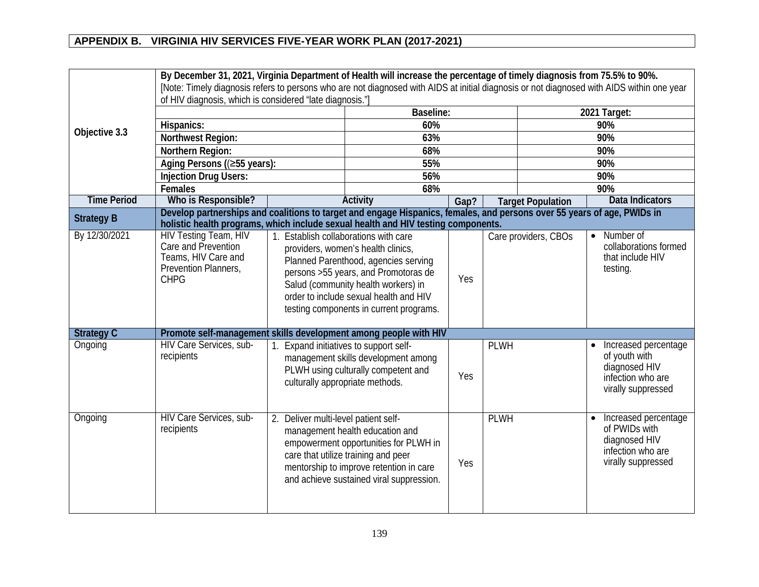|                    | By December 31, 2021, Virginia Department of Health will increase the percentage of timely diagnosis from 75.5% to 90%.                                                                                      |                                                                                                                                                                                                                                                                                         |                                                                                                                                                                                                        |      |             |                          |                                                                                                   |  |
|--------------------|--------------------------------------------------------------------------------------------------------------------------------------------------------------------------------------------------------------|-----------------------------------------------------------------------------------------------------------------------------------------------------------------------------------------------------------------------------------------------------------------------------------------|--------------------------------------------------------------------------------------------------------------------------------------------------------------------------------------------------------|------|-------------|--------------------------|---------------------------------------------------------------------------------------------------|--|
|                    | [Note: Timely diagnosis refers to persons who are not diagnosed with AIDS at initial diagnosis or not diagnosed with AIDS within one year                                                                    |                                                                                                                                                                                                                                                                                         |                                                                                                                                                                                                        |      |             |                          |                                                                                                   |  |
|                    | of HIV diagnosis, which is considered "late diagnosis."]                                                                                                                                                     |                                                                                                                                                                                                                                                                                         |                                                                                                                                                                                                        |      |             |                          |                                                                                                   |  |
|                    |                                                                                                                                                                                                              |                                                                                                                                                                                                                                                                                         | <b>Baseline:</b>                                                                                                                                                                                       |      |             |                          | 2021 Target:                                                                                      |  |
| Objective 3.3      | Hispanics:                                                                                                                                                                                                   |                                                                                                                                                                                                                                                                                         | 60%                                                                                                                                                                                                    |      |             |                          | 90%                                                                                               |  |
|                    | Northwest Region:                                                                                                                                                                                            |                                                                                                                                                                                                                                                                                         | 63%                                                                                                                                                                                                    |      |             |                          | 90%                                                                                               |  |
|                    | Northern Region:                                                                                                                                                                                             |                                                                                                                                                                                                                                                                                         | 68%                                                                                                                                                                                                    |      |             |                          | 90%                                                                                               |  |
|                    | Aging Persons ((≥55 years):                                                                                                                                                                                  |                                                                                                                                                                                                                                                                                         | 55%                                                                                                                                                                                                    |      |             |                          | 90%                                                                                               |  |
|                    | <b>Injection Drug Users:</b>                                                                                                                                                                                 |                                                                                                                                                                                                                                                                                         | 56%                                                                                                                                                                                                    |      |             |                          | 90%                                                                                               |  |
|                    | Females                                                                                                                                                                                                      |                                                                                                                                                                                                                                                                                         |                                                                                                                                                                                                        | 68%  |             |                          | 90%                                                                                               |  |
| <b>Time Period</b> | Who is Responsible?                                                                                                                                                                                          |                                                                                                                                                                                                                                                                                         | <b>Activity</b>                                                                                                                                                                                        | Gap? |             | <b>Target Population</b> | <b>Data Indicators</b>                                                                            |  |
| <b>Strategy B</b>  | Develop partnerships and coalitions to target and engage Hispanics, females, and persons over 55 years of age, PWIDs in<br>holistic health programs, which include sexual health and HIV testing components. |                                                                                                                                                                                                                                                                                         |                                                                                                                                                                                                        |      |             |                          |                                                                                                   |  |
| By 12/30/2021      | <b>HIV Testing Team, HIV</b><br>Care and Prevention<br>Teams, HIV Care and<br>Prevention Planners,<br><b>CHPG</b>                                                                                            | 1. Establish collaborations with care<br>providers, women's health clinics,<br>Planned Parenthood, agencies serving<br>persons >55 years, and Promotoras de<br>Salud (community health workers) in<br>order to include sexual health and HIV<br>testing components in current programs. |                                                                                                                                                                                                        | Yes  |             | Care providers, CBOs     | Number of<br>$\bullet$<br>collaborations formed<br>that include HIV<br>testing.                   |  |
| <b>Strategy C</b>  | Promote self-management skills development among people with HIV                                                                                                                                             |                                                                                                                                                                                                                                                                                         |                                                                                                                                                                                                        |      |             |                          |                                                                                                   |  |
| Ongoing            | HIV Care Services, sub-<br>recipients                                                                                                                                                                        | culturally appropriate methods.                                                                                                                                                                                                                                                         | Expand initiatives to support self-<br>management skills development among<br>PLWH using culturally competent and                                                                                      | Yes  | <b>PLWH</b> |                          | Increased percentage<br>of youth with<br>diagnosed HIV<br>infection who are<br>virally suppressed |  |
| Ongoing            | HIV Care Services, sub-<br>recipients                                                                                                                                                                        | 2. Deliver multi-level patient self-                                                                                                                                                                                                                                                    | management health education and<br>empowerment opportunities for PLWH in<br>care that utilize training and peer<br>mentorship to improve retention in care<br>and achieve sustained viral suppression. | Yes  | <b>PLWH</b> |                          | Increased percentage<br>of PWIDs with<br>diagnosed HIV<br>infection who are<br>virally suppressed |  |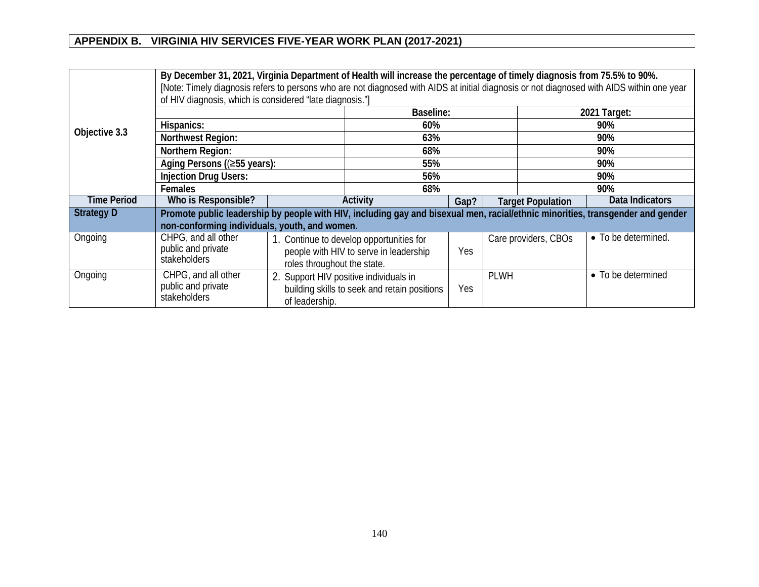|                    | By December 31, 2021, Virginia Department of Health will increase the percentage of timely diagnosis from 75.5% to 90%.<br>[Note: Timely diagnosis refers to persons who are not diagnosed with AIDS at initial diagnosis or not diagnosed with AIDS within one year<br>of HIV diagnosis, which is considered "late diagnosis."] |                                                          |                                                                                    |      |             |                          |                     |  |
|--------------------|----------------------------------------------------------------------------------------------------------------------------------------------------------------------------------------------------------------------------------------------------------------------------------------------------------------------------------|----------------------------------------------------------|------------------------------------------------------------------------------------|------|-------------|--------------------------|---------------------|--|
| Objective 3.3      |                                                                                                                                                                                                                                                                                                                                  |                                                          | Baseline:                                                                          |      |             | 2021 Target:             |                     |  |
|                    | Hispanics:                                                                                                                                                                                                                                                                                                                       |                                                          | 60%                                                                                |      |             |                          | 90%                 |  |
|                    | Northwest Region:                                                                                                                                                                                                                                                                                                                |                                                          | 63%                                                                                |      |             |                          | 90%                 |  |
|                    | Northern Region:                                                                                                                                                                                                                                                                                                                 |                                                          | 68%                                                                                |      |             |                          | 90%                 |  |
|                    | Aging Persons ((≥55 years):                                                                                                                                                                                                                                                                                                      |                                                          | 55%                                                                                |      |             | 90%                      |                     |  |
|                    | <b>Injection Drug Users:</b>                                                                                                                                                                                                                                                                                                     |                                                          | 56%                                                                                |      |             | 90%                      |                     |  |
|                    | <b>Females</b>                                                                                                                                                                                                                                                                                                                   |                                                          | 68%                                                                                |      |             | 90%                      |                     |  |
| <b>Time Period</b> | Who is Responsible?                                                                                                                                                                                                                                                                                                              |                                                          | Activity                                                                           | Gap? |             | <b>Target Population</b> | Data Indicators     |  |
| <b>Strategy D</b>  | Promote public leadership by people with HIV, including gay and bisexual men, racial/ethnic minorities, transgender and gender<br>non-conforming individuals, youth, and women.                                                                                                                                                  |                                                          |                                                                                    |      |             |                          |                     |  |
| Ongoing            | CHPG, and all other<br>public and private<br>stakeholders                                                                                                                                                                                                                                                                        | roles throughout the state.                              | 1. Continue to develop opportunities for<br>people with HIV to serve in leadership | Yes  |             | Care providers, CBOs     | • To be determined. |  |
| Ongoing            | CHPG, and all other<br>public and private<br>stakeholders                                                                                                                                                                                                                                                                        | 2. Support HIV positive individuals in<br>of leadership. | building skills to seek and retain positions                                       | Yes  | <b>PLWH</b> |                          | • To be determined  |  |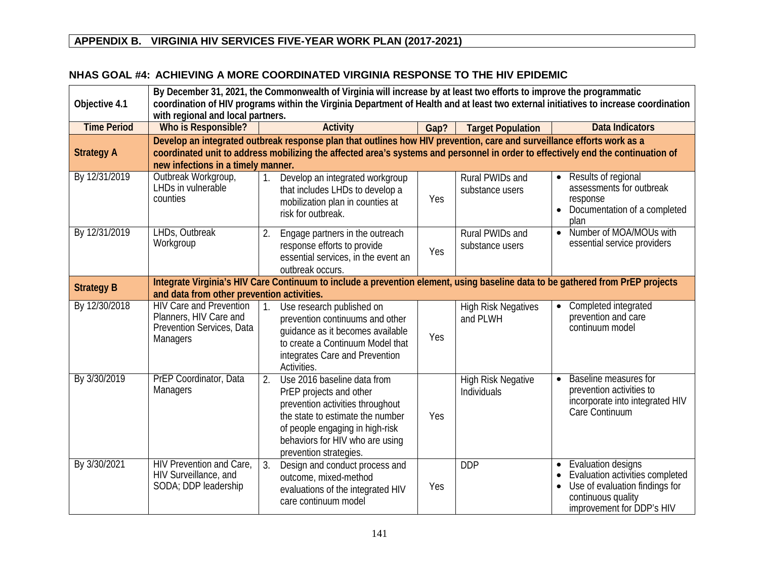#### **NHAS GOAL #4: ACHIEVING A MORE COORDINATED VIRGINIA RESPONSE TO THE HIV EPIDEMIC**

| Objective 4.1      | By December 31, 2021, the Commonwealth of Virginia will increase by at least two efforts to improve the programmatic<br>coordination of HIV programs within the Virginia Department of Health and at least two external initiatives to increase coordination<br>with regional and local partners. |                                                                                                                                                                                                                                                            |      |                                          |                                                                                                                                                         |  |
|--------------------|---------------------------------------------------------------------------------------------------------------------------------------------------------------------------------------------------------------------------------------------------------------------------------------------------|------------------------------------------------------------------------------------------------------------------------------------------------------------------------------------------------------------------------------------------------------------|------|------------------------------------------|---------------------------------------------------------------------------------------------------------------------------------------------------------|--|
| <b>Time Period</b> | Who is Responsible?                                                                                                                                                                                                                                                                               | <b>Activity</b>                                                                                                                                                                                                                                            | Gap? | <b>Target Population</b>                 | <b>Data Indicators</b>                                                                                                                                  |  |
| <b>Strategy A</b>  | new infections in a timely manner.                                                                                                                                                                                                                                                                | Develop an integrated outbreak response plan that outlines how HIV prevention, care and surveillance efforts work as a<br>coordinated unit to address mobilizing the affected area's systems and personnel in order to effectively end the continuation of |      |                                          |                                                                                                                                                         |  |
| By 12/31/2019      | Outbreak Workgroup,<br>LHDs in vulnerable<br>counties                                                                                                                                                                                                                                             | Develop an integrated workgroup<br>that includes LHDs to develop a<br>mobilization plan in counties at<br>risk for outbreak.                                                                                                                               | Yes  | Rural PWIDs and<br>substance users       | Results of regional<br>$\bullet$<br>assessments for outbreak<br>response<br>Documentation of a completed<br>$\bullet$<br>plan                           |  |
| By 12/31/2019      | LHDs, Outbreak<br>Workgroup                                                                                                                                                                                                                                                                       | Engage partners in the outreach<br>2.<br>response efforts to provide<br>essential services, in the event an<br>outbreak occurs.                                                                                                                            | Yes  | Rural PWIDs and<br>substance users       | Number of MOA/MOUs with<br>$\bullet$<br>essential service providers                                                                                     |  |
| <b>Strategy B</b>  | Integrate Virginia's HIV Care Continuum to include a prevention element, using baseline data to be gathered from PrEP projects<br>and data from other prevention activities.                                                                                                                      |                                                                                                                                                                                                                                                            |      |                                          |                                                                                                                                                         |  |
| By 12/30/2018      | <b>HIV Care and Prevention</b><br>Planners, HIV Care and<br>Prevention Services, Data<br>Managers                                                                                                                                                                                                 | Use research published on<br>prevention continuums and other<br>quidance as it becomes available<br>to create a Continuum Model that<br>integrates Care and Prevention<br>Activities.                                                                      | Yes  | <b>High Risk Negatives</b><br>and PLWH   | Completed integrated<br>$\bullet$<br>prevention and care<br>continuum model                                                                             |  |
| By 3/30/2019       | PrEP Coordinator, Data<br>Managers                                                                                                                                                                                                                                                                | 2.<br>Use 2016 baseline data from<br>PrEP projects and other<br>prevention activities throughout<br>the state to estimate the number<br>of people engaging in high-risk<br>behaviors for HIV who are using<br>prevention strategies.                       | Yes  | <b>High Risk Negative</b><br>Individuals | Baseline measures for<br>$\bullet$<br>prevention activities to<br>incorporate into integrated HIV<br>Care Continuum                                     |  |
| By 3/30/2021       | HIV Prevention and Care,<br>HIV Surveillance, and<br>SODA; DDP leadership                                                                                                                                                                                                                         | 3.<br>Design and conduct process and<br>outcome, mixed-method<br>evaluations of the integrated HIV<br>care continuum model                                                                                                                                 | Yes  | <b>DDP</b>                               | Evaluation designs<br>$\bullet$<br>Evaluation activities completed<br>Use of evaluation findings for<br>continuous quality<br>improvement for DDP's HIV |  |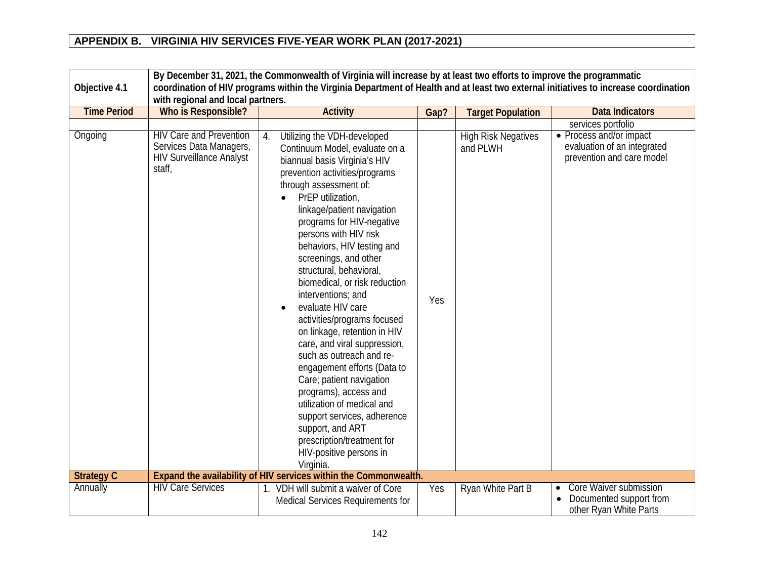|                    | By December 31, 2021, the Commonwealth of Virginia will increase by at least two efforts to improve the programmatic |                                                                                                                                                                                                                                                                                                                                                                                                                                                                                                                                                                                                                                                                                                                                                                                                                             |      |                                        |                                                                                          |  |
|--------------------|----------------------------------------------------------------------------------------------------------------------|-----------------------------------------------------------------------------------------------------------------------------------------------------------------------------------------------------------------------------------------------------------------------------------------------------------------------------------------------------------------------------------------------------------------------------------------------------------------------------------------------------------------------------------------------------------------------------------------------------------------------------------------------------------------------------------------------------------------------------------------------------------------------------------------------------------------------------|------|----------------------------------------|------------------------------------------------------------------------------------------|--|
| Objective 4.1      |                                                                                                                      | coordination of HIV programs within the Virginia Department of Health and at least two external initiatives to increase coordination                                                                                                                                                                                                                                                                                                                                                                                                                                                                                                                                                                                                                                                                                        |      |                                        |                                                                                          |  |
|                    | with regional and local partners.                                                                                    |                                                                                                                                                                                                                                                                                                                                                                                                                                                                                                                                                                                                                                                                                                                                                                                                                             |      |                                        |                                                                                          |  |
| <b>Time Period</b> | Who is Responsible?                                                                                                  | <b>Activity</b>                                                                                                                                                                                                                                                                                                                                                                                                                                                                                                                                                                                                                                                                                                                                                                                                             | Gap? | <b>Target Population</b>               | <b>Data Indicators</b>                                                                   |  |
|                    |                                                                                                                      |                                                                                                                                                                                                                                                                                                                                                                                                                                                                                                                                                                                                                                                                                                                                                                                                                             |      |                                        | services portfolio                                                                       |  |
| Ongoing            | <b>HIV Care and Prevention</b><br>Services Data Managers,<br><b>HIV Surveillance Analyst</b><br>staff,               | Utilizing the VDH-developed<br>$\overline{4}$ .<br>Continuum Model, evaluate on a<br>biannual basis Virginia's HIV<br>prevention activities/programs<br>through assessment of:<br>PrEP utilization,<br>linkage/patient navigation<br>programs for HIV-negative<br>persons with HIV risk<br>behaviors, HIV testing and<br>screenings, and other<br>structural, behavioral,<br>biomedical, or risk reduction<br>interventions; and<br>evaluate HIV care<br>activities/programs focused<br>on linkage, retention in HIV<br>care, and viral suppression,<br>such as outreach and re-<br>engagement efforts (Data to<br>Care; patient navigation<br>programs), access and<br>utilization of medical and<br>support services, adherence<br>support, and ART<br>prescription/treatment for<br>HIV-positive persons in<br>Virginia. | Yes  | <b>High Risk Negatives</b><br>and PLWH | • Process and/or impact<br>evaluation of an integrated<br>prevention and care model      |  |
| <b>Strategy C</b>  |                                                                                                                      | Expand the availability of HIV services within the Commonwealth.                                                                                                                                                                                                                                                                                                                                                                                                                                                                                                                                                                                                                                                                                                                                                            |      |                                        |                                                                                          |  |
| Annually           | <b>HIV Care Services</b>                                                                                             | 1. VDH will submit a waiver of Core<br>Medical Services Requirements for                                                                                                                                                                                                                                                                                                                                                                                                                                                                                                                                                                                                                                                                                                                                                    | Yes  | Ryan White Part B                      | Core Waiver submission<br>$\bullet$<br>Documented support from<br>other Ryan White Parts |  |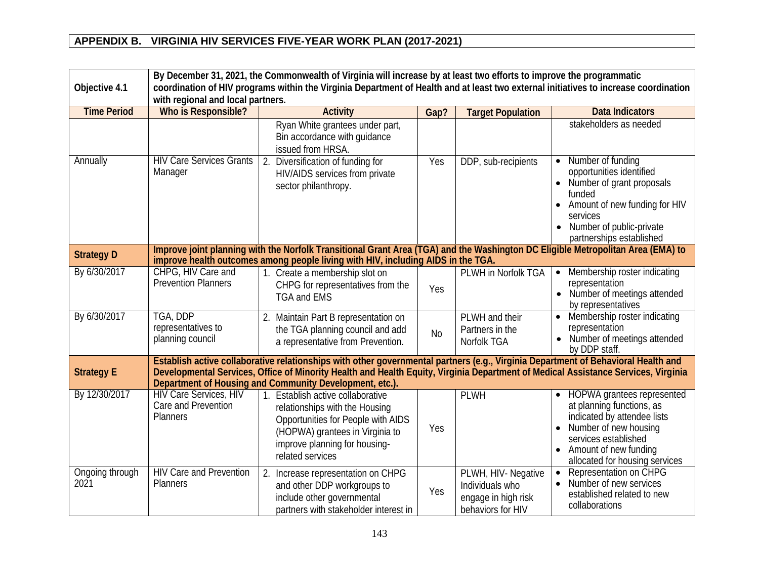| Objective 4.1           | By December 31, 2021, the Commonwealth of Virginia will increase by at least two efforts to improve the programmatic<br>coordination of HIV programs within the Virginia Department of Health and at least two external initiatives to increase coordination<br>with regional and local partners. |                                                                                                                                                                                                                                                                        |           |                                                                                    |                                                                                                                                                                                                                                  |  |  |
|-------------------------|---------------------------------------------------------------------------------------------------------------------------------------------------------------------------------------------------------------------------------------------------------------------------------------------------|------------------------------------------------------------------------------------------------------------------------------------------------------------------------------------------------------------------------------------------------------------------------|-----------|------------------------------------------------------------------------------------|----------------------------------------------------------------------------------------------------------------------------------------------------------------------------------------------------------------------------------|--|--|
| <b>Time Period</b>      | Who is Responsible?                                                                                                                                                                                                                                                                               | <b>Activity</b>                                                                                                                                                                                                                                                        | Gap?      | <b>Target Population</b>                                                           | <b>Data Indicators</b>                                                                                                                                                                                                           |  |  |
|                         |                                                                                                                                                                                                                                                                                                   | Ryan White grantees under part,<br>Bin accordance with guidance<br>issued from HRSA.                                                                                                                                                                                   |           |                                                                                    | stakeholders as needed                                                                                                                                                                                                           |  |  |
| Annually                | <b>HIV Care Services Grants</b><br>Manager                                                                                                                                                                                                                                                        | 2.<br>Diversification of funding for<br>HIV/AIDS services from private<br>sector philanthropy.                                                                                                                                                                         | Yes       | DDP, sub-recipients                                                                | Number of funding<br>$\bullet$<br>opportunities identified<br>Number of grant proposals<br>$\bullet$<br>funded<br>Amount of new funding for HIV<br>services<br>Number of public-private<br>$\bullet$<br>partnerships established |  |  |
| <b>Strategy D</b>       |                                                                                                                                                                                                                                                                                                   | Improve joint planning with the Norfolk Transitional Grant Area (TGA) and the Washington DC Eligible Metropolitan Area (EMA) to<br>improve health outcomes among people living with HIV, including AIDS in the TGA.                                                    |           |                                                                                    |                                                                                                                                                                                                                                  |  |  |
| By 6/30/2017            | CHPG, HIV Care and<br><b>Prevention Planners</b>                                                                                                                                                                                                                                                  | 1. Create a membership slot on<br>CHPG for representatives from the<br><b>TGA and EMS</b>                                                                                                                                                                              | Yes       | PLWH in Norfolk TGA                                                                | Membership roster indicating<br>$\bullet$<br>representation<br>Number of meetings attended<br>$\bullet$<br>by representatives                                                                                                    |  |  |
| By 6/30/2017            | TGA, DDP<br>representatives to<br>planning council                                                                                                                                                                                                                                                | Maintain Part B representation on<br>2.<br>the TGA planning council and add<br>a representative from Prevention.                                                                                                                                                       | <b>No</b> | PLWH and their<br>Partners in the<br>Norfolk TGA                                   | Membership roster indicating<br>$\bullet$<br>representation<br>Number of meetings attended<br>by DDP staff.                                                                                                                      |  |  |
| <b>Strategy E</b>       |                                                                                                                                                                                                                                                                                                   | Establish active collaborative relationships with other governmental partners (e.g., Virginia Department of Behavioral Health and<br>Developmental Services, Office of Minority Health and Health Equity, Virginia Department of Medical Assistance Services, Virginia |           |                                                                                    |                                                                                                                                                                                                                                  |  |  |
|                         |                                                                                                                                                                                                                                                                                                   | Department of Housing and Community Development, etc.).                                                                                                                                                                                                                |           |                                                                                    |                                                                                                                                                                                                                                  |  |  |
| By 12/30/2017           | <b>HIV Care Services, HIV</b><br>Care and Prevention<br><b>Planners</b>                                                                                                                                                                                                                           | 1. Establish active collaborative<br>relationships with the Housing<br>Opportunities for People with AIDS<br>(HOPWA) grantees in Virginia to<br>improve planning for housing-<br>related services                                                                      | Yes       | <b>PLWH</b>                                                                        | <b>HOPWA</b> grantees represented<br>at planning functions, as<br>indicated by attendee lists<br>Number of new housing<br>$\bullet$<br>services established<br>Amount of new funding<br>allocated for housing services           |  |  |
| Ongoing through<br>2021 | <b>HIV Care and Prevention</b><br>Planners                                                                                                                                                                                                                                                        | $\overline{2}$ .<br>Increase representation on CHPG<br>and other DDP workgroups to<br>include other governmental<br>partners with stakeholder interest in                                                                                                              | Yes       | PLWH, HIV- Negative<br>Individuals who<br>engage in high risk<br>behaviors for HIV | Representation on CHPG<br>$\bullet$<br>Number of new services<br>$\bullet$<br>established related to new<br>collaborations                                                                                                       |  |  |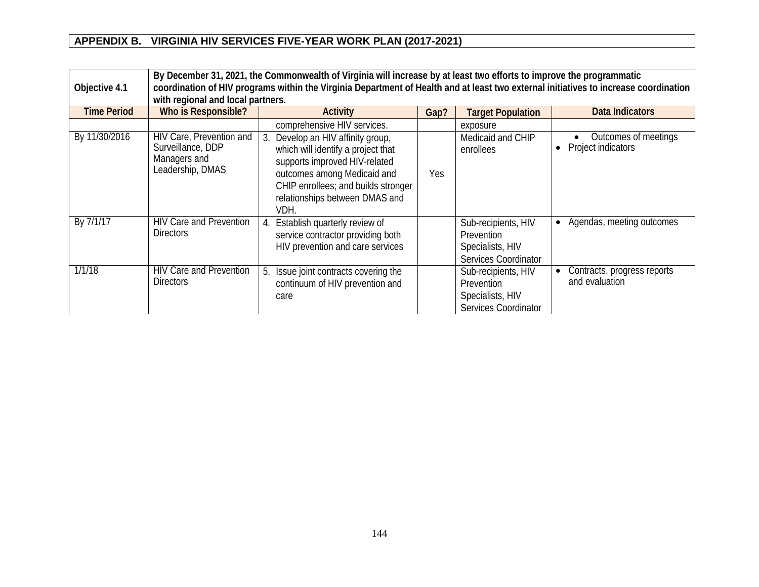| Objective 4.1      | By December 31, 2021, the Commonwealth of Virginia will increase by at least two efforts to improve the programmatic<br>coordination of HIV programs within the Virginia Department of Health and at least two external initiatives to increase coordination<br>with regional and local partners. |                                                                                                                                                                                                                       |      |                                                                                      |                                               |  |  |
|--------------------|---------------------------------------------------------------------------------------------------------------------------------------------------------------------------------------------------------------------------------------------------------------------------------------------------|-----------------------------------------------------------------------------------------------------------------------------------------------------------------------------------------------------------------------|------|--------------------------------------------------------------------------------------|-----------------------------------------------|--|--|
| <b>Time Period</b> | <b>Who is Responsible?</b>                                                                                                                                                                                                                                                                        | Activity                                                                                                                                                                                                              | Gap? | <b>Target Population</b>                                                             | <b>Data Indicators</b>                        |  |  |
|                    |                                                                                                                                                                                                                                                                                                   | comprehensive HIV services.                                                                                                                                                                                           |      | exposure                                                                             |                                               |  |  |
| By 11/30/2016      | HIV Care, Prevention and<br>Surveillance, DDP<br>Managers and<br>Leadership, DMAS                                                                                                                                                                                                                 | Develop an HIV affinity group,<br>which will identify a project that<br>supports improved HIV-related<br>outcomes among Medicaid and<br>CHIP enrollees; and builds stronger<br>relationships between DMAS and<br>VDH. | Yes  | Medicaid and CHIP<br>enrollees                                                       | Outcomes of meetings<br>Project indicators    |  |  |
| By 7/1/17          | <b>HIV Care and Prevention</b><br><b>Directors</b>                                                                                                                                                                                                                                                | Establish quarterly review of<br>service contractor providing both<br>HIV prevention and care services                                                                                                                |      | Sub-recipients, HIV<br>Prevention<br>Specialists, HIV<br>Services Coordinator        | • Agendas, meeting outcomes                   |  |  |
| 1/1/18             | <b>HIV Care and Prevention</b><br><b>Directors</b>                                                                                                                                                                                                                                                | Issue joint contracts covering the<br>5.<br>continuum of HIV prevention and<br>care                                                                                                                                   |      | Sub-recipients, HIV<br><b>Prevention</b><br>Specialists, HIV<br>Services Coordinator | Contracts, progress reports<br>and evaluation |  |  |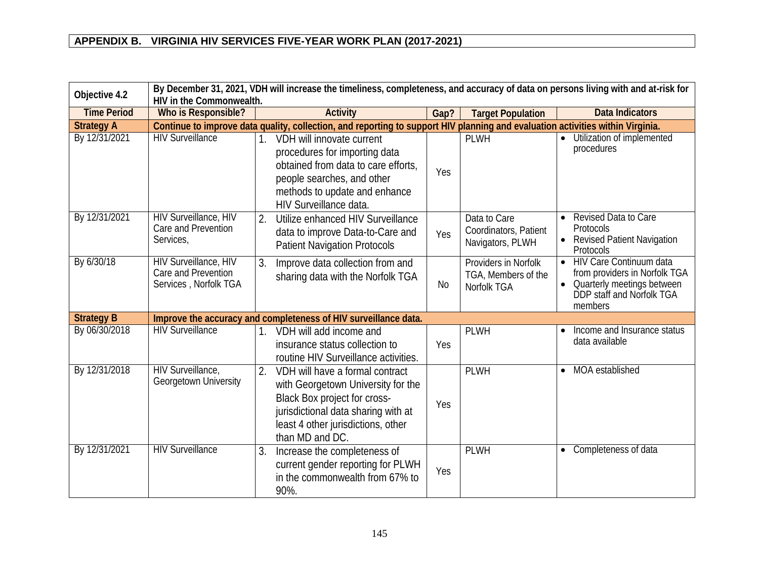| Objective 4.2      | By December 31, 2021, VDH will increase the timeliness, completeness, and accuracy of data on persons living with and at-risk for<br>HIV in the Commonwealth. |                                                                                                                                                                                                             |      |                                                            |                                                                                                                                                                 |  |
|--------------------|---------------------------------------------------------------------------------------------------------------------------------------------------------------|-------------------------------------------------------------------------------------------------------------------------------------------------------------------------------------------------------------|------|------------------------------------------------------------|-----------------------------------------------------------------------------------------------------------------------------------------------------------------|--|
| <b>Time Period</b> | Who is Responsible?                                                                                                                                           | <b>Activity</b>                                                                                                                                                                                             | Gap? | <b>Target Population</b>                                   | <b>Data Indicators</b>                                                                                                                                          |  |
| <b>Strategy A</b>  |                                                                                                                                                               | Continue to improve data quality, collection, and reporting to support HIV planning and evaluation activities within Virginia.                                                                              |      |                                                            |                                                                                                                                                                 |  |
| By 12/31/2021      | <b>HIV Surveillance</b>                                                                                                                                       | VDH will innovate current<br>procedures for importing data<br>obtained from data to care efforts,<br>people searches, and other<br>methods to update and enhance<br>HIV Surveillance data.                  | Yes  | <b>PLWH</b>                                                | Utilization of implemented<br>$\bullet$<br>procedures                                                                                                           |  |
| By 12/31/2021      | <b>HIV Surveillance, HIV</b><br>Care and Prevention<br>Services,                                                                                              | Utilize enhanced HIV Surveillance<br>2.<br>data to improve Data-to-Care and<br><b>Patient Navigation Protocols</b>                                                                                          | Yes  | Data to Care<br>Coordinators, Patient<br>Navigators, PLWH  | Revised Data to Care<br><b>Protocols</b><br><b>Revised Patient Navigation</b><br>Protocols                                                                      |  |
| By 6/30/18         | HIV Surveillance, HIV<br>Care and Prevention<br>Services, Norfolk TGA                                                                                         | Improve data collection from and<br>3.<br>sharing data with the Norfolk TGA                                                                                                                                 | No   | Providers in Norfolk<br>TGA, Members of the<br>Norfolk TGA | <b>HIV Care Continuum data</b><br>$\bullet$<br>from providers in Norfolk TGA<br>Quarterly meetings between<br>$\bullet$<br>DDP staff and Norfolk TGA<br>members |  |
| <b>Strategy B</b>  |                                                                                                                                                               | Improve the accuracy and completeness of HIV surveillance data.                                                                                                                                             |      |                                                            |                                                                                                                                                                 |  |
| By 06/30/2018      | <b>HIV Surveillance</b>                                                                                                                                       | VDH will add income and<br>insurance status collection to<br>routine HIV Surveillance activities.                                                                                                           | Yes  | <b>PLWH</b>                                                | Income and Insurance status<br>data available                                                                                                                   |  |
| By 12/31/2018      | HIV Surveillance,<br>Georgetown University                                                                                                                    | 2.<br>VDH will have a formal contract<br>with Georgetown University for the<br>Black Box project for cross-<br>jurisdictional data sharing with at<br>least 4 other jurisdictions, other<br>than MD and DC. | Yes  | <b>PLWH</b>                                                | MOA established<br>$\bullet$                                                                                                                                    |  |
| By 12/31/2021      | <b>HIV Surveillance</b>                                                                                                                                       | 3.<br>Increase the completeness of<br>current gender reporting for PLWH<br>in the commonwealth from 67% to<br>90%.                                                                                          | Yes  | <b>PLWH</b>                                                | Completeness of data<br>$\bullet$                                                                                                                               |  |